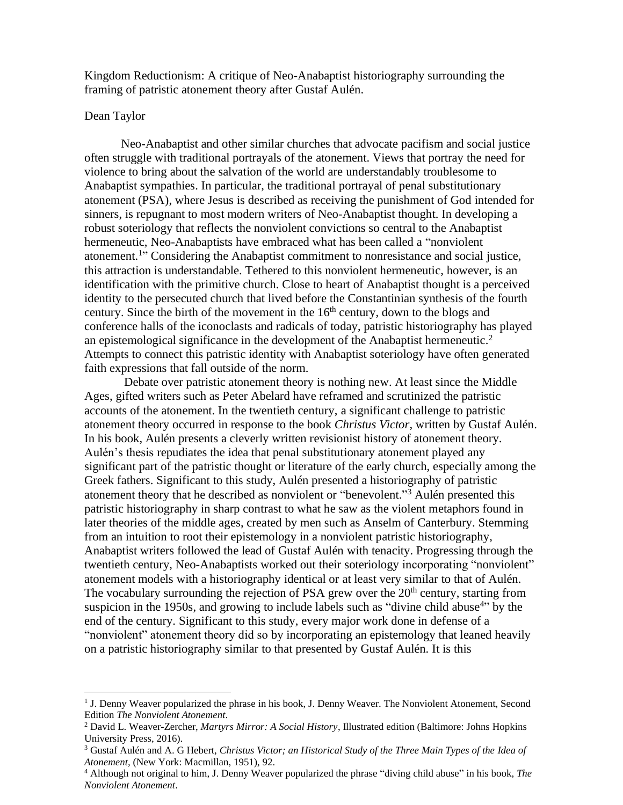Kingdom Reductionism: A critique of Neo-Anabaptist historiography surrounding the framing of patristic atonement theory after Gustaf Aulén.

#### Dean Taylor

Neo-Anabaptist and other similar churches that advocate pacifism and social justice often struggle with traditional portrayals of the atonement. Views that portray the need for violence to bring about the salvation of the world are understandably troublesome to Anabaptist sympathies. In particular, the traditional portrayal of penal substitutionary atonement (PSA), where Jesus is described as receiving the punishment of God intended for sinners, is repugnant to most modern writers of Neo-Anabaptist thought. In developing a robust soteriology that reflects the nonviolent convictions so central to the Anabaptist hermeneutic, Neo-Anabaptists have embraced what has been called a "nonviolent atonement.<sup>1</sup>" Considering the Anabaptist commitment to nonresistance and social justice, this attraction is understandable. Tethered to this nonviolent hermeneutic, however, is an identification with the primitive church. Close to heart of Anabaptist thought is a perceived identity to the persecuted church that lived before the Constantinian synthesis of the fourth century. Since the birth of the movement in the 16<sup>th</sup> century, down to the blogs and conference halls of the iconoclasts and radicals of today, patristic historiography has played an epistemological significance in the development of the Anabaptist hermeneutic. 2 Attempts to connect this patristic identity with Anabaptist soteriology have often generated faith expressions that fall outside of the norm.

Debate over patristic atonement theory is nothing new. At least since the Middle Ages, gifted writers such as Peter Abelard have reframed and scrutinized the patristic accounts of the atonement. In the twentieth century, a significant challenge to patristic atonement theory occurred in response to the book *Christus Victor,* written by Gustaf Aulén. In his book, Aulén presents a cleverly written revisionist history of atonement theory. Aulén's thesis repudiates the idea that penal substitutionary atonement played any significant part of the patristic thought or literature of the early church, especially among the Greek fathers. Significant to this study, Aulén presented a historiography of patristic atonement theory that he described as nonviolent or "benevolent." <sup>3</sup> Aulén presented this patristic historiography in sharp contrast to what he saw as the violent metaphors found in later theories of the middle ages, created by men such as Anselm of Canterbury. Stemming from an intuition to root their epistemology in a nonviolent patristic historiography, Anabaptist writers followed the lead of Gustaf Aulén with tenacity. Progressing through the twentieth century, Neo-Anabaptists worked out their soteriology incorporating "nonviolent" atonement models with a historiography identical or at least very similar to that of Aulén. The vocabulary surrounding the rejection of PSA grew over the  $20<sup>th</sup>$  century, starting from suspicion in the 1950s, and growing to include labels such as "divine child abuse<sup>4</sup>" by the end of the century. Significant to this study, every major work done in defense of a "nonviolent" atonement theory did so by incorporating an epistemology that leaned heavily on a patristic historiography similar to that presented by Gustaf Aulén. It is this

<sup>&</sup>lt;sup>1</sup> J. Denny Weaver popularized the phrase in his book, J. Denny Weaver. The Nonviolent Atonement, Second Edition *The Nonviolent Atonement*.

<sup>2</sup> David L. Weaver-Zercher, *Martyrs Mirror: A Social History*, Illustrated edition (Baltimore: Johns Hopkins University Press, 2016).

<sup>3</sup> Gustaf Aulén and A. G Hebert, *Christus Victor; an Historical Study of the Three Main Types of the Idea of Atonement,* (New York: Macmillan, 1951), 92.

<sup>4</sup> Although not original to him, J. Denny Weaver popularized the phrase "diving child abuse" in his book, *The Nonviolent Atonement*.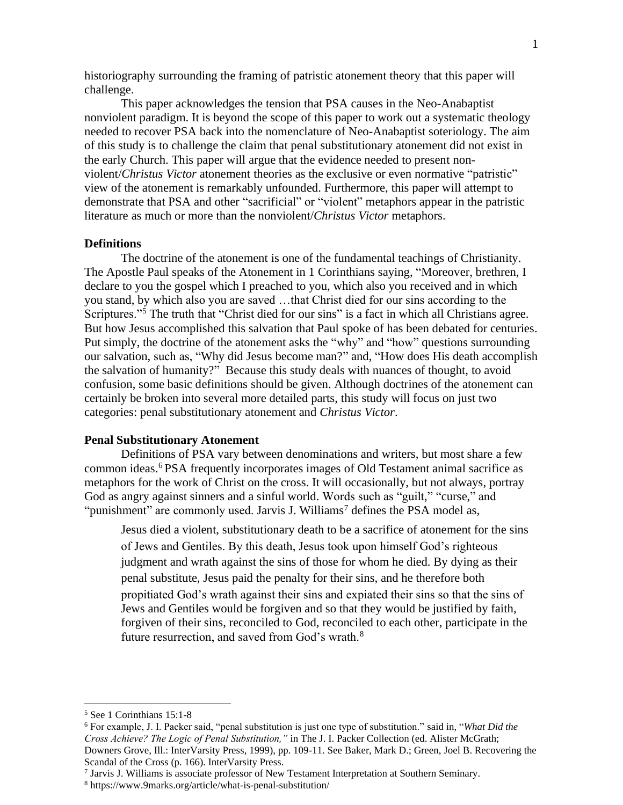historiography surrounding the framing of patristic atonement theory that this paper will challenge.

This paper acknowledges the tension that PSA causes in the Neo-Anabaptist nonviolent paradigm. It is beyond the scope of this paper to work out a systematic theology needed to recover PSA back into the nomenclature of Neo-Anabaptist soteriology. The aim of this study is to challenge the claim that penal substitutionary atonement did not exist in the early Church. This paper will argue that the evidence needed to present nonviolent/*Christus Victor* atonement theories as the exclusive or even normative "patristic" view of the atonement is remarkably unfounded. Furthermore, this paper will attempt to demonstrate that PSA and other "sacrificial" or "violent" metaphors appear in the patristic literature as much or more than the nonviolent/*Christus Victor* metaphors.

#### **Definitions**

The doctrine of the atonement is one of the fundamental teachings of Christianity. The Apostle Paul speaks of the Atonement in 1 Corinthians saying, "Moreover, brethren, I declare to you the gospel which I preached to you, which also you received and in which you stand, by which also you are saved …that Christ died for our sins according to the Scriptures."<sup>5</sup> The truth that "Christ died for our sins" is a fact in which all Christians agree. But how Jesus accomplished this salvation that Paul spoke of has been debated for centuries. Put simply, the doctrine of the atonement asks the "why" and "how" questions surrounding our salvation, such as, "Why did Jesus become man?" and, "How does His death accomplish the salvation of humanity?" Because this study deals with nuances of thought, to avoid confusion, some basic definitions should be given. Although doctrines of the atonement can certainly be broken into several more detailed parts, this study will focus on just two categories: penal substitutionary atonement and *Christus Victor*.

#### **Penal Substitutionary Atonement**

Definitions of PSA vary between denominations and writers, but most share a few common ideas.<sup>6</sup> PSA frequently incorporates images of Old Testament animal sacrifice as metaphors for the work of Christ on the cross. It will occasionally, but not always, portray God as angry against sinners and a sinful world. Words such as "guilt," "curse," and "punishment" are commonly used. Jarvis J. Williams<sup>7</sup> defines the PSA model as,

Jesus died a violent, substitutionary death to be a sacrifice of atonement for the sins of Jews and Gentiles. By this death, Jesus took upon himself God's righteous judgment and wrath against the sins of those for whom he died. By dying as their penal substitute, Jesus paid the penalty for their sins, and he therefore both propitiated God's wrath against their sins and expiated their sins so that the sins of Jews and Gentiles would be forgiven and so that they would be justified by faith, forgiven of their sins, reconciled to God, reconciled to each other, participate in the future resurrection, and saved from God's wrath.<sup>8</sup>

<sup>5</sup> See 1 Corinthians 15:1-8

<sup>6</sup> For example, J. I. Packer said, "penal substitution is just one type of substitution." said in, "*What Did the Cross Achieve? The Logic of Penal Substitution,"* in The J. I. Packer Collection (ed. Alister McGrath; Downers Grove, Ill.: InterVarsity Press, 1999), pp. 109-11. See Baker, Mark D.; Green, Joel B. Recovering the Scandal of the Cross (p. 166). InterVarsity Press.

<sup>7</sup> Jarvis J. Williams is associate professor of New Testament Interpretation at Southern Seminary.

<sup>8</sup> https://www.9marks.org/article/what-is-penal-substitution/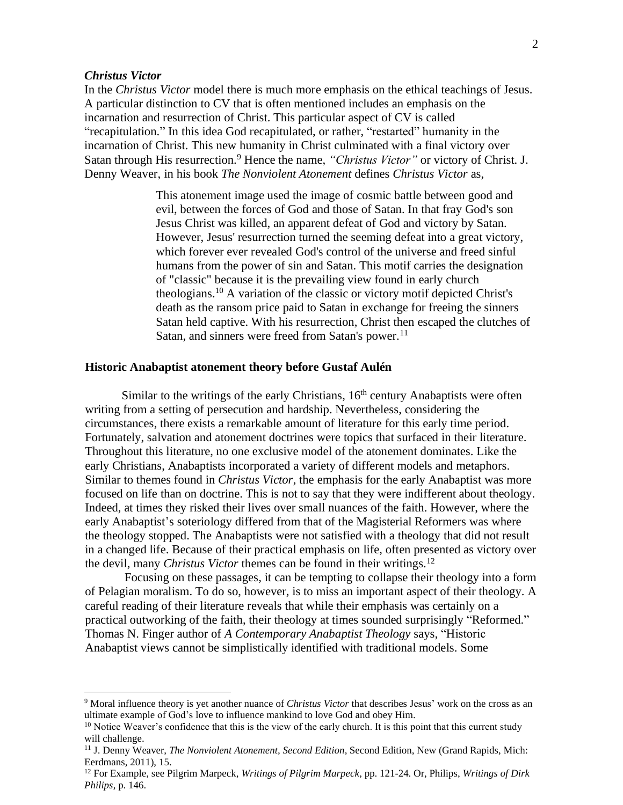# *Christus Victor*

In the *Christus Victor* model there is much more emphasis on the ethical teachings of Jesus. A particular distinction to CV that is often mentioned includes an emphasis on the incarnation and resurrection of Christ. This particular aspect of CV is called "recapitulation." In this idea God recapitulated, or rather, "restarted" humanity in the incarnation of Christ. This new humanity in Christ culminated with a final victory over Satan through His resurrection.<sup>9</sup> Hence the name, *"Christus Victor"* or victory of Christ. J. Denny Weaver, in his book *The Nonviolent Atonement* defines *Christus Victor* as,

> This atonement image used the image of cosmic battle between good and evil, between the forces of God and those of Satan. In that fray God's son Jesus Christ was killed, an apparent defeat of God and victory by Satan. However, Jesus' resurrection turned the seeming defeat into a great victory, which forever ever revealed God's control of the universe and freed sinful humans from the power of sin and Satan. This motif carries the designation of "classic" because it is the prevailing view found in early church theologians.<sup>10</sup> A variation of the classic or victory motif depicted Christ's death as the ransom price paid to Satan in exchange for freeing the sinners Satan held captive. With his resurrection, Christ then escaped the clutches of Satan, and sinners were freed from Satan's power.<sup>11</sup>

### **Historic Anabaptist atonement theory before Gustaf Aulén**

Similar to the writings of the early Christians,  $16<sup>th</sup>$  century Anabaptists were often writing from a setting of persecution and hardship. Nevertheless, considering the circumstances, there exists a remarkable amount of literature for this early time period. Fortunately, salvation and atonement doctrines were topics that surfaced in their literature. Throughout this literature, no one exclusive model of the atonement dominates. Like the early Christians, Anabaptists incorporated a variety of different models and metaphors. Similar to themes found in *Christus Victor*, the emphasis for the early Anabaptist was more focused on life than on doctrine. This is not to say that they were indifferent about theology. Indeed, at times they risked their lives over small nuances of the faith. However, where the early Anabaptist's soteriology differed from that of the Magisterial Reformers was where the theology stopped. The Anabaptists were not satisfied with a theology that did not result in a changed life. Because of their practical emphasis on life, often presented as victory over the devil, many *Christus Victor* themes can be found in their writings.<sup>12</sup>

Focusing on these passages, it can be tempting to collapse their theology into a form of Pelagian moralism. To do so, however, is to miss an important aspect of their theology. A careful reading of their literature reveals that while their emphasis was certainly on a practical outworking of the faith, their theology at times sounded surprisingly "Reformed." Thomas N. Finger author of *A Contemporary Anabaptist Theology* says*,* "Historic Anabaptist views cannot be simplistically identified with traditional models. Some

<sup>9</sup> Moral influence theory is yet another nuance of *Christus Victor* that describes Jesus' work on the cross as an ultimate example of God's love to influence mankind to love God and obey Him.

<sup>&</sup>lt;sup>10</sup> Notice Weaver's confidence that this is the view of the early church. It is this point that this current study will challenge.

<sup>11</sup> J. Denny Weaver, *The Nonviolent Atonement, Second Edition*, Second Edition, New (Grand Rapids, Mich: Eerdmans, 2011), 15.

<sup>12</sup> For Example, see Pilgrim Marpeck, *Writings of Pilgrim Marpeck*, pp. 121-24. Or, Philips, *Writings of Dirk Philips*, p. 146.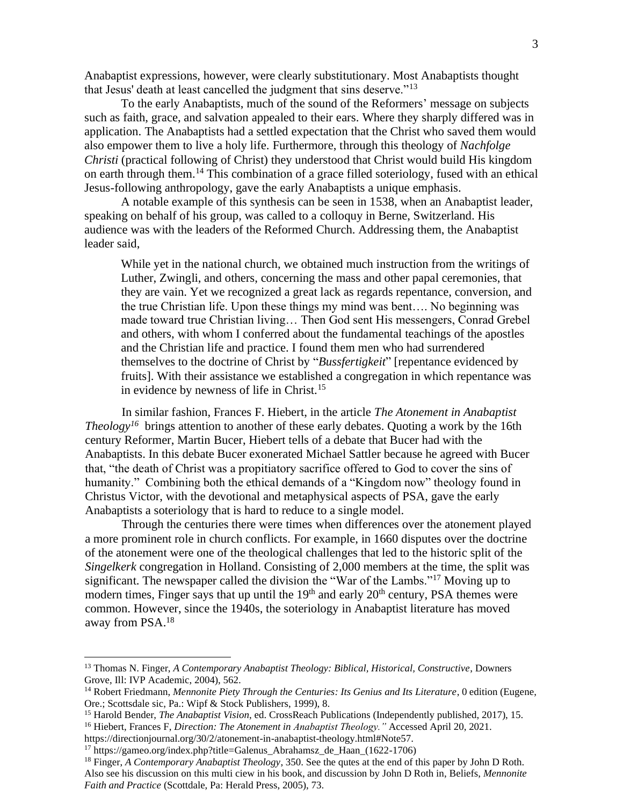Anabaptist expressions, however, were clearly substitutionary. Most Anabaptists thought that Jesus' death at least cancelled the judgment that sins deserve."<sup>13</sup>

To the early Anabaptists, much of the sound of the Reformers' message on subjects such as faith, grace, and salvation appealed to their ears. Where they sharply differed was in application. The Anabaptists had a settled expectation that the Christ who saved them would also empower them to live a holy life. Furthermore, through this theology of *Nachfolge Christi* (practical following of Christ) they understood that Christ would build His kingdom on earth through them. <sup>14</sup> This combination of a grace filled soteriology, fused with an ethical Jesus-following anthropology, gave the early Anabaptists a unique emphasis.

A notable example of this synthesis can be seen in 1538, when an Anabaptist leader, speaking on behalf of his group, was called to a colloquy in Berne, Switzerland. His audience was with the leaders of the Reformed Church. Addressing them, the Anabaptist leader said,

While yet in the national church, we obtained much instruction from the writings of Luther, Zwingli, and others, concerning the mass and other papal ceremonies, that they are vain. Yet we recognized a great lack as regards repentance, conversion, and the true Christian life. Upon these things my mind was bent…. No beginning was made toward true Christian living… Then God sent His messengers, Conrad Grebel and others, with whom I conferred about the fundamental teachings of the apostles and the Christian life and practice. I found them men who had surrendered themselves to the doctrine of Christ by "*Bussfertigkeit*" [repentance evidenced by fruits]. With their assistance we established a congregation in which repentance was in evidence by newness of life in Christ.<sup>15</sup>

In similar fashion, Frances F. Hiebert, in the article *The Atonement in Anabaptist Theology<sup>16</sup>* brings attention to another of these early debates. Quoting a work by the 16th century Reformer, Martin Bucer, Hiebert tells of a debate that Bucer had with the Anabaptists. In this debate Bucer exonerated Michael Sattler because he agreed with Bucer that, "the death of Christ was a propitiatory sacrifice offered to God to cover the sins of humanity." Combining both the ethical demands of a "Kingdom now" theology found in Christus Victor, with the devotional and metaphysical aspects of PSA, gave the early Anabaptists a soteriology that is hard to reduce to a single model.

Through the centuries there were times when differences over the atonement played a more prominent role in church conflicts. For example, in 1660 disputes over the doctrine of the atonement were one of the theological challenges that led to the historic split of the *Singelkerk* congregation in Holland. Consisting of 2,000 members at the time, the split was significant. The newspaper called the division the "War of the Lambs."<sup>17</sup> Moving up to modern times, Finger says that up until the 19<sup>th</sup> and early 20<sup>th</sup> century, PSA themes were common. However, since the 1940s, the soteriology in Anabaptist literature has moved away from PSA. 18

<sup>13</sup> Thomas N. Finger, *A Contemporary Anabaptist Theology: Biblical, Historical, Constructive*, Downers Grove, Ill: IVP Academic, 2004), 562.

<sup>&</sup>lt;sup>14</sup> Robert Friedmann, *Mennonite Piety Through the Centuries: Its Genius and Its Literature*, 0 edition (Eugene, Ore.; Scottsdale sic, Pa.: Wipf & Stock Publishers, 1999), 8.

<sup>15</sup> Harold Bender, *The Anabaptist Vision*, ed. CrossReach Publications (Independently published, 2017), 15.

<sup>16</sup> Hiebert, Frances F, *Direction: The Atonement in Anabaptist Theology."* Accessed April 20, 2021.

https://directionjournal.org/30/2/atonement-in-anabaptist-theology.html#Note57.

<sup>17</sup> https://gameo.org/index.php?title=Galenus\_Abrahamsz\_de\_Haan\_(1622-1706)

<sup>18</sup> Finger, *A Contemporary Anabaptist Theology*, 350. See the qutes at the end of this paper by John D Roth. Also see his discussion on this multi ciew in his book, and discussion by John D Roth in, Beliefs, *Mennonite Faith and Practice* (Scottdale, Pa: Herald Press, 2005), 73.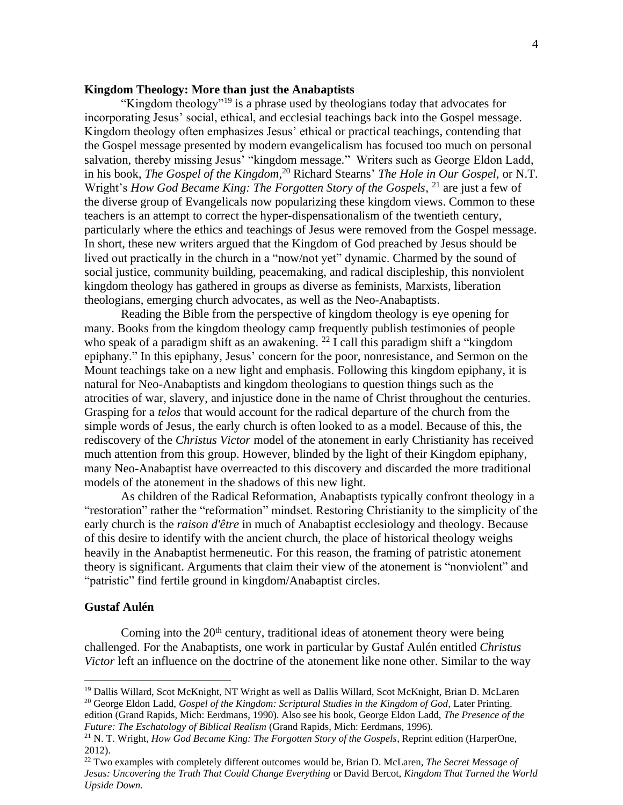# **Kingdom Theology: More than just the Anabaptists**

"Kingdom theology"<sup>19</sup> is a phrase used by theologians today that advocates for incorporating Jesus' social, ethical, and ecclesial teachings back into the Gospel message. Kingdom theology often emphasizes Jesus' ethical or practical teachings, contending that the Gospel message presented by modern evangelicalism has focused too much on personal salvation, thereby missing Jesus' "kingdom message." Writers such as George Eldon Ladd, in his book, *The Gospel of the Kingdom,* <sup>20</sup> Richard Stearns' *The Hole in Our Gospel,* or N.T. Wright's *How God Became King: The Forgotten Story of the Gospels*, <sup>21</sup> are just a few of the diverse group of Evangelicals now popularizing these kingdom views. Common to these teachers is an attempt to correct the hyper-dispensationalism of the twentieth century, particularly where the ethics and teachings of Jesus were removed from the Gospel message. In short, these new writers argued that the Kingdom of God preached by Jesus should be lived out practically in the church in a "now/not yet" dynamic. Charmed by the sound of social justice, community building, peacemaking, and radical discipleship, this nonviolent kingdom theology has gathered in groups as diverse as feminists, Marxists, liberation theologians, emerging church advocates, as well as the Neo-Anabaptists.

Reading the Bible from the perspective of kingdom theology is eye opening for many. Books from the kingdom theology camp frequently publish testimonies of people who speak of a paradigm shift as an awakening. <sup>22</sup> I call this paradigm shift a "kingdom epiphany." In this epiphany, Jesus' concern for the poor, nonresistance, and Sermon on the Mount teachings take on a new light and emphasis. Following this kingdom epiphany, it is natural for Neo-Anabaptists and kingdom theologians to question things such as the atrocities of war, slavery, and injustice done in the name of Christ throughout the centuries. Grasping for a *telos* that would account for the radical departure of the church from the simple words of Jesus, the early church is often looked to as a model. Because of this, the rediscovery of the *Christus Victor* model of the atonement in early Christianity has received much attention from this group. However, blinded by the light of their Kingdom epiphany, many Neo-Anabaptist have overreacted to this discovery and discarded the more traditional models of the atonement in the shadows of this new light.

As children of the Radical Reformation, Anabaptists typically confront theology in a "restoration" rather the "reformation" mindset. Restoring Christianity to the simplicity of the early church is the *raison d'être* in much of Anabaptist ecclesiology and theology. Because of this desire to identify with the ancient church, the place of historical theology weighs heavily in the Anabaptist hermeneutic. For this reason, the framing of patristic atonement theory is significant. Arguments that claim their view of the atonement is "nonviolent" and "patristic" find fertile ground in kingdom/Anabaptist circles.

#### **Gustaf Aulén**

Coming into the  $20<sup>th</sup>$  century, traditional ideas of atonement theory were being challenged. For the Anabaptists, one work in particular by Gustaf Aulén entitled *Christus Victor* left an influence on the doctrine of the atonement like none other. Similar to the way

<sup>19</sup> Dallis Willard, Scot McKnight, NT Wright as well as Dallis Willard, Scot McKnight, Brian D. McLaren <sup>20</sup> George Eldon Ladd, *Gospel of the Kingdom: Scriptural Studies in the Kingdom of God*, Later Printing. edition (Grand Rapids, Mich: Eerdmans, 1990). Also see his book, George Eldon Ladd, *The Presence of the Future: The Eschatology of Biblical Realism* (Grand Rapids, Mich: Eerdmans, 1996).

<sup>21</sup> N. T. Wright, *How God Became King: The Forgotten Story of the Gospels*, Reprint edition (HarperOne, 2012).

<sup>22</sup> Two examples with completely different outcomes would be, Brian D. McLaren, *The Secret Message of Jesus: Uncovering the Truth That Could Change Everything* or David Bercot, *Kingdom That Turned the World Upside Down.*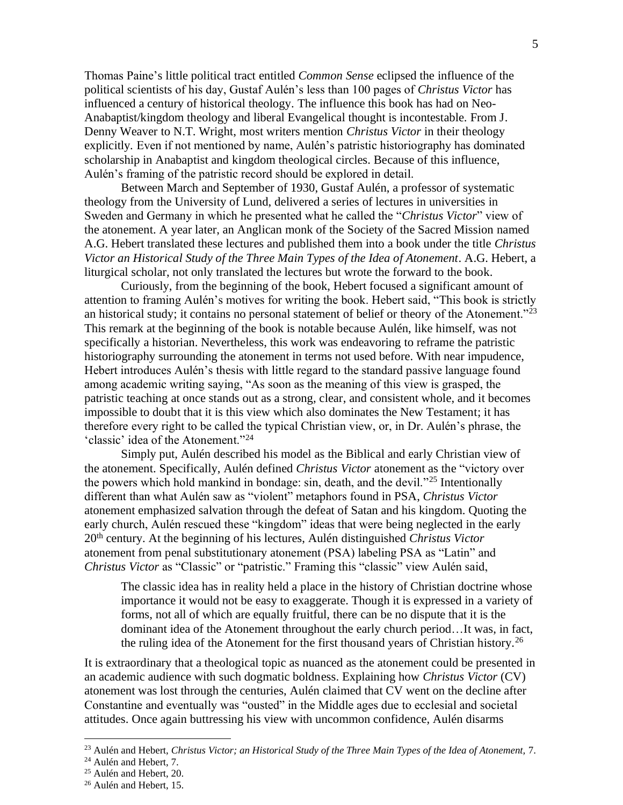Thomas Paine's little political tract entitled *Common Sense* eclipsed the influence of the political scientists of his day, Gustaf Aulén's less than 100 pages of *Christus Victor* has influenced a century of historical theology. The influence this book has had on Neo-Anabaptist/kingdom theology and liberal Evangelical thought is incontestable. From J. Denny Weaver to N.T. Wright, most writers mention *Christus Victor* in their theology explicitly*.* Even if not mentioned by name, Aulén's patristic historiography has dominated scholarship in Anabaptist and kingdom theological circles. Because of this influence, Aulén's framing of the patristic record should be explored in detail.

Between March and September of 1930, Gustaf Aulén, a professor of systematic theology from the University of Lund, delivered a series of lectures in universities in Sweden and Germany in which he presented what he called the "*Christus Victor*" view of the atonement. A year later, an Anglican monk of the Society of the Sacred Mission named A.G. Hebert translated these lectures and published them into a book under the title *Christus Victor an Historical Study of the Three Main Types of the Idea of Atonement*. A.G. Hebert, a liturgical scholar, not only translated the lectures but wrote the forward to the book.

Curiously, from the beginning of the book, Hebert focused a significant amount of attention to framing Aulén's motives for writing the book. Hebert said, "This book is strictly an historical study; it contains no personal statement of belief or theory of the Atonement."<sup>23</sup> This remark at the beginning of the book is notable because Aulén, like himself, was not specifically a historian. Nevertheless, this work was endeavoring to reframe the patristic historiography surrounding the atonement in terms not used before. With near impudence, Hebert introduces Aulén's thesis with little regard to the standard passive language found among academic writing saying, "As soon as the meaning of this view is grasped, the patristic teaching at once stands out as a strong, clear, and consistent whole, and it becomes impossible to doubt that it is this view which also dominates the New Testament; it has therefore every right to be called the typical Christian view, or, in Dr. Aulén's phrase, the 'classic' idea of the Atonement."<sup>24</sup>

Simply put, Aulén described his model as the Biblical and early Christian view of the atonement. Specifically, Aulén defined *Christus Victor* atonement as the "victory over the powers which hold mankind in bondage: sin, death, and the devil."<sup>25</sup> Intentionally different than what Aulén saw as "violent" metaphors found in PSA, *Christus Victor* atonement emphasized salvation through the defeat of Satan and his kingdom. Quoting the early church, Aulén rescued these "kingdom" ideas that were being neglected in the early 20th century. At the beginning of his lectures, Aulén distinguished *Christus Victor* atonement from penal substitutionary atonement (PSA) labeling PSA as "Latin" and *Christus Victor* as "Classic" or "patristic." Framing this "classic" view Aulén said,

The classic idea has in reality held a place in the history of Christian doctrine whose importance it would not be easy to exaggerate. Though it is expressed in a variety of forms, not all of which are equally fruitful, there can be no dispute that it is the dominant idea of the Atonement throughout the early church period…It was, in fact, the ruling idea of the Atonement for the first thousand years of Christian history.<sup>26</sup>

It is extraordinary that a theological topic as nuanced as the atonement could be presented in an academic audience with such dogmatic boldness. Explaining how *Christus Victor* (CV) atonement was lost through the centuries, Aulén claimed that CV went on the decline after Constantine and eventually was "ousted" in the Middle ages due to ecclesial and societal attitudes. Once again buttressing his view with uncommon confidence, Aulén disarms

<sup>23</sup> Aulén and Hebert, *Christus Victor; an Historical Study of the Three Main Types of the Idea of Atonement,* 7.

<sup>&</sup>lt;sup>24</sup> Aulén and Hebert, 7.

 $25$  Aulén and Hebert, 20.

<sup>&</sup>lt;sup>26</sup> Aulén and Hebert, 15.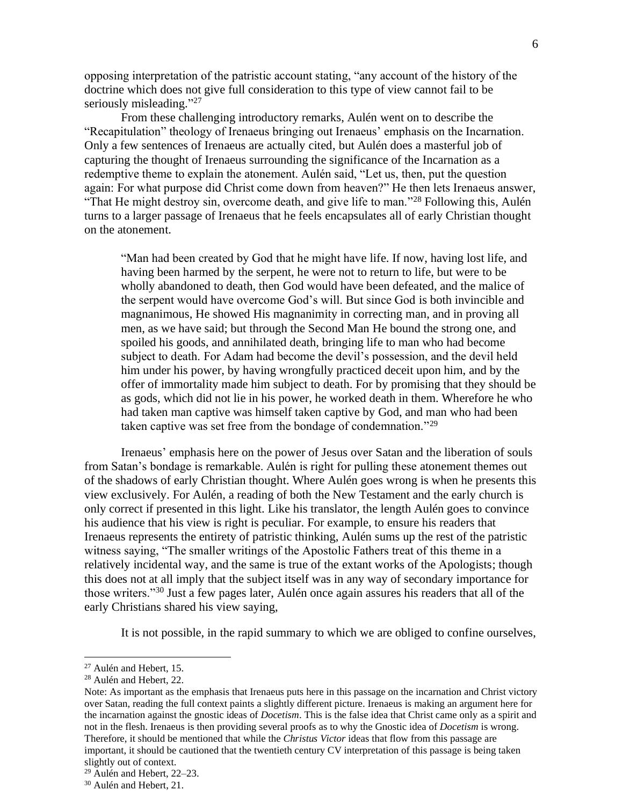opposing interpretation of the patristic account stating, "any account of the history of the doctrine which does not give full consideration to this type of view cannot fail to be seriously misleading."27

From these challenging introductory remarks, Aulén went on to describe the "Recapitulation" theology of Irenaeus bringing out Irenaeus' emphasis on the Incarnation. Only a few sentences of Irenaeus are actually cited, but Aulén does a masterful job of capturing the thought of Irenaeus surrounding the significance of the Incarnation as a redemptive theme to explain the atonement. Aulén said, "Let us, then, put the question again: For what purpose did Christ come down from heaven?" He then lets Irenaeus answer, "That He might destroy sin, overcome death, and give life to man."<sup>28</sup> Following this, Aulén turns to a larger passage of Irenaeus that he feels encapsulates all of early Christian thought on the atonement.

"Man had been created by God that he might have life. If now, having lost life, and having been harmed by the serpent, he were not to return to life, but were to be wholly abandoned to death, then God would have been defeated, and the malice of the serpent would have overcome God's will. But since God is both invincible and magnanimous, He showed His magnanimity in correcting man, and in proving all men, as we have said; but through the Second Man He bound the strong one, and spoiled his goods, and annihilated death, bringing life to man who had become subject to death. For Adam had become the devil's possession, and the devil held him under his power, by having wrongfully practiced deceit upon him, and by the offer of immortality made him subject to death. For by promising that they should be as gods, which did not lie in his power, he worked death in them. Wherefore he who had taken man captive was himself taken captive by God, and man who had been taken captive was set free from the bondage of condemnation."<sup>29</sup>

Irenaeus' emphasis here on the power of Jesus over Satan and the liberation of souls from Satan's bondage is remarkable. Aulén is right for pulling these atonement themes out of the shadows of early Christian thought. Where Aulén goes wrong is when he presents this view exclusively. For Aulén, a reading of both the New Testament and the early church is only correct if presented in this light. Like his translator, the length Aulén goes to convince his audience that his view is right is peculiar. For example, to ensure his readers that Irenaeus represents the entirety of patristic thinking, Aulén sums up the rest of the patristic witness saying, "The smaller writings of the Apostolic Fathers treat of this theme in a relatively incidental way, and the same is true of the extant works of the Apologists; though this does not at all imply that the subject itself was in any way of secondary importance for those writers."<sup>30</sup> Just a few pages later, Aulén once again assures his readers that all of the early Christians shared his view saying,

It is not possible, in the rapid summary to which we are obliged to confine ourselves,

 $27$  Aulén and Hebert, 15.

<sup>28</sup> Aulén and Hebert, 22.

Note: As important as the emphasis that Irenaeus puts here in this passage on the incarnation and Christ victory over Satan, reading the full context paints a slightly different picture. Irenaeus is making an argument here for the incarnation against the gnostic ideas of *Docetism*. This is the false idea that Christ came only as a spirit and not in the flesh. Irenaeus is then providing several proofs as to why the Gnostic idea of *Docetism* is wrong. Therefore, it should be mentioned that while the *Christus Victor* ideas that flow from this passage are important, it should be cautioned that the twentieth century CV interpretation of this passage is being taken slightly out of context.

<sup>29</sup> Aulén and Hebert, 22–23.

<sup>30</sup> Aulén and Hebert, 21.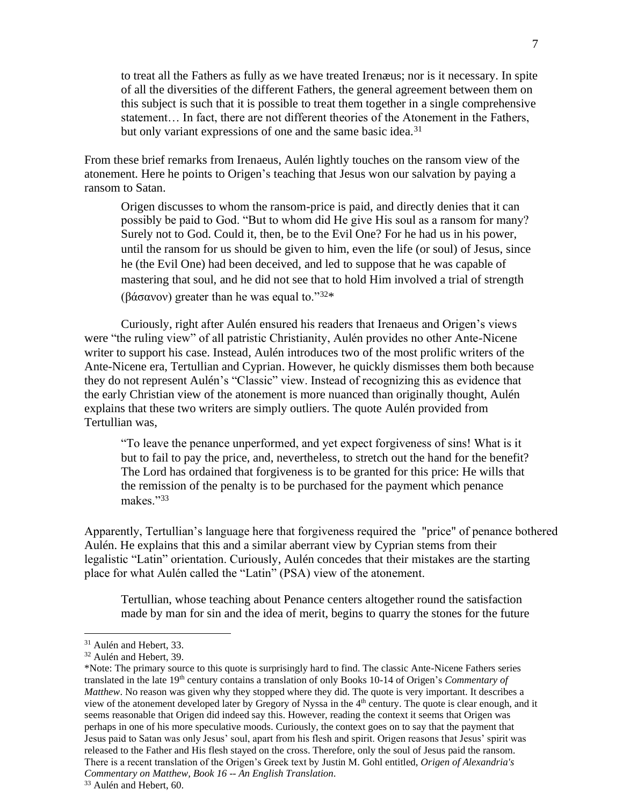to treat all the Fathers as fully as we have treated Irenæus; nor is it necessary. In spite of all the diversities of the different Fathers, the general agreement between them on this subject is such that it is possible to treat them together in a single comprehensive statement… In fact, there are not different theories of the Atonement in the Fathers, but only variant expressions of one and the same basic idea.<sup>31</sup>

From these brief remarks from Irenaeus, Aulén lightly touches on the ransom view of the atonement. Here he points to Origen's teaching that Jesus won our salvation by paying a ransom to Satan.

Origen discusses to whom the ransom-price is paid, and directly denies that it can possibly be paid to God. "But to whom did He give His soul as a ransom for many? Surely not to God. Could it, then, be to the Evil One? For he had us in his power, until the ransom for us should be given to him, even the life (or soul) of Jesus, since he (the Evil One) had been deceived, and led to suppose that he was capable of mastering that soul, and he did not see that to hold Him involved a trial of strength (βάσανον) greater than he was equal to."32\*

Curiously, right after Aulén ensured his readers that Irenaeus and Origen's views were "the ruling view" of all patristic Christianity, Aulén provides no other Ante-Nicene writer to support his case. Instead, Aulén introduces two of the most prolific writers of the Ante-Nicene era, Tertullian and Cyprian. However, he quickly dismisses them both because they do not represent Aulén's "Classic" view. Instead of recognizing this as evidence that the early Christian view of the atonement is more nuanced than originally thought, Aulén explains that these two writers are simply outliers. The quote Aulén provided from Tertullian was,

"To leave the penance unperformed, and yet expect forgiveness of sins! What is it but to fail to pay the price, and, nevertheless, to stretch out the hand for the benefit? The Lord has ordained that forgiveness is to be granted for this price: He wills that the remission of the penalty is to be purchased for the payment which penance makes."<sup>33</sup>

Apparently, Tertullian's language here that forgiveness required the "price" of penance bothered Aulén. He explains that this and a similar aberrant view by Cyprian stems from their legalistic "Latin" orientation. Curiously, Aulén concedes that their mistakes are the starting place for what Aulén called the "Latin" (PSA) view of the atonement.

Tertullian, whose teaching about Penance centers altogether round the satisfaction made by man for sin and the idea of merit, begins to quarry the stones for the future

<sup>&</sup>lt;sup>31</sup> Aulén and Hebert, 33.

<sup>&</sup>lt;sup>32</sup> Aulén and Hebert, 39.

<sup>\*</sup>Note: The primary source to this quote is surprisingly hard to find. The classic Ante-Nicene Fathers series translated in the late 19th century contains a translation of only Books 10-14 of Origen's *Commentary of Matthew*. No reason was given why they stopped where they did. The quote is very important. It describes a view of the atonement developed later by Gregory of Nyssa in the 4th century. The quote is clear enough, and it seems reasonable that Origen did indeed say this. However, reading the context it seems that Origen was perhaps in one of his more speculative moods. Curiously, the context goes on to say that the payment that Jesus paid to Satan was only Jesus' soul, apart from his flesh and spirit. Origen reasons that Jesus' spirit was released to the Father and His flesh stayed on the cross. Therefore, only the soul of Jesus paid the ransom. There is a recent translation of the Origen's Greek text by Justin M. Gohl entitled, *Origen of Alexandria's Commentary on Matthew, Book 16 -- An English Translation*.

<sup>&</sup>lt;sup>33</sup> Aulén and Hebert, 60.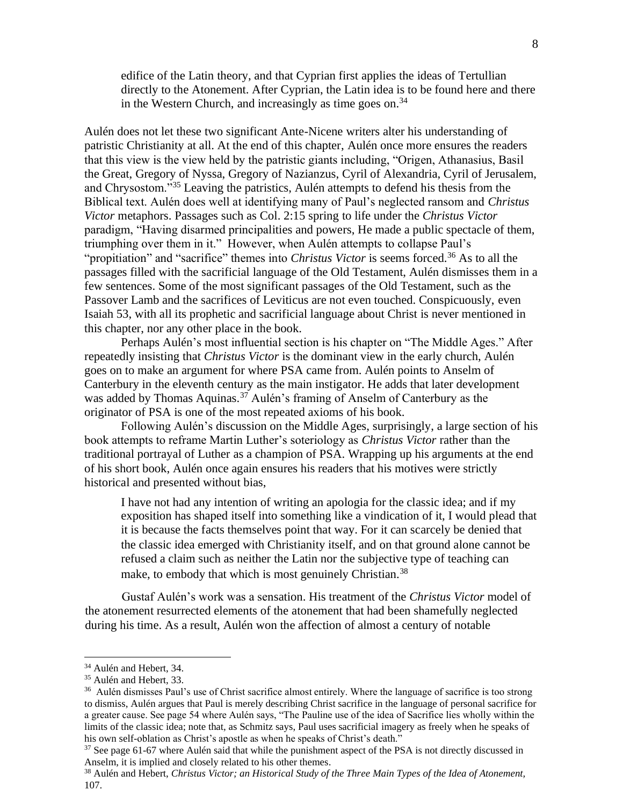edifice of the Latin theory, and that Cyprian first applies the ideas of Tertullian directly to the Atonement. After Cyprian, the Latin idea is to be found here and there in the Western Church, and increasingly as time goes on.<sup>34</sup>

Aulén does not let these two significant Ante-Nicene writers alter his understanding of patristic Christianity at all. At the end of this chapter, Aulén once more ensures the readers that this view is the view held by the patristic giants including, "Origen, Athanasius, Basil the Great, Gregory of Nyssa, Gregory of Nazianzus, Cyril of Alexandria, Cyril of Jerusalem, and Chrysostom."<sup>35</sup> Leaving the patristics, Aulén attempts to defend his thesis from the Biblical text. Aulén does well at identifying many of Paul's neglected ransom and *Christus Victor* metaphors. Passages such as Col. 2:15 spring to life under the *Christus Victor* paradigm, "Having disarmed principalities and powers, He made a public spectacle of them, triumphing over them in it." However, when Aulén attempts to collapse Paul's "propitiation" and "sacrifice" themes into *Christus Victor* is seems forced.<sup>36</sup> As to all the passages filled with the sacrificial language of the Old Testament, Aulén dismisses them in a few sentences. Some of the most significant passages of the Old Testament, such as the Passover Lamb and the sacrifices of Leviticus are not even touched. Conspicuously, even Isaiah 53, with all its prophetic and sacrificial language about Christ is never mentioned in this chapter, nor any other place in the book.

Perhaps Aulén's most influential section is his chapter on "The Middle Ages." After repeatedly insisting that *Christus Victor* is the dominant view in the early church, Aulén goes on to make an argument for where PSA came from. Aulén points to Anselm of Canterbury in the eleventh century as the main instigator. He adds that later development was added by Thomas Aquinas.<sup>37</sup> Aulén's framing of Anselm of Canterbury as the originator of PSA is one of the most repeated axioms of his book.

Following Aulén's discussion on the Middle Ages, surprisingly, a large section of his book attempts to reframe Martin Luther's soteriology as *Christus Victor* rather than the traditional portrayal of Luther as a champion of PSA. Wrapping up his arguments at the end of his short book, Aulén once again ensures his readers that his motives were strictly historical and presented without bias,

I have not had any intention of writing an apologia for the classic idea; and if my exposition has shaped itself into something like a vindication of it, I would plead that it is because the facts themselves point that way. For it can scarcely be denied that the classic idea emerged with Christianity itself, and on that ground alone cannot be refused a claim such as neither the Latin nor the subjective type of teaching can make, to embody that which is most genuinely Christian.<sup>38</sup>

Gustaf Aulén's work was a sensation. His treatment of the *Christus Victor* model of the atonement resurrected elements of the atonement that had been shamefully neglected during his time. As a result, Aulén won the affection of almost a century of notable

<sup>&</sup>lt;sup>34</sup> Aulén and Hebert, 34.

<sup>&</sup>lt;sup>35</sup> Aulén and Hebert, 33.

<sup>&</sup>lt;sup>36</sup> Aulén dismisses Paul's use of Christ sacrifice almost entirely. Where the language of sacrifice is too strong to dismiss, Aulén argues that Paul is merely describing Christ sacrifice in the language of personal sacrifice for a greater cause. See page 54 where Aulén says, "The Pauline use of the idea of Sacrifice lies wholly within the limits of the classic idea; note that, as Schmitz says, Paul uses sacrificial imagery as freely when he speaks of his own self-oblation as Christ's apostle as when he speaks of Christ's death."

<sup>&</sup>lt;sup>37</sup> See page 61-67 where Aulén said that while the punishment aspect of the PSA is not directly discussed in Anselm, it is implied and closely related to his other themes.

<sup>38</sup> Aulén and Hebert, *Christus Victor; an Historical Study of the Three Main Types of the Idea of Atonement,* 107.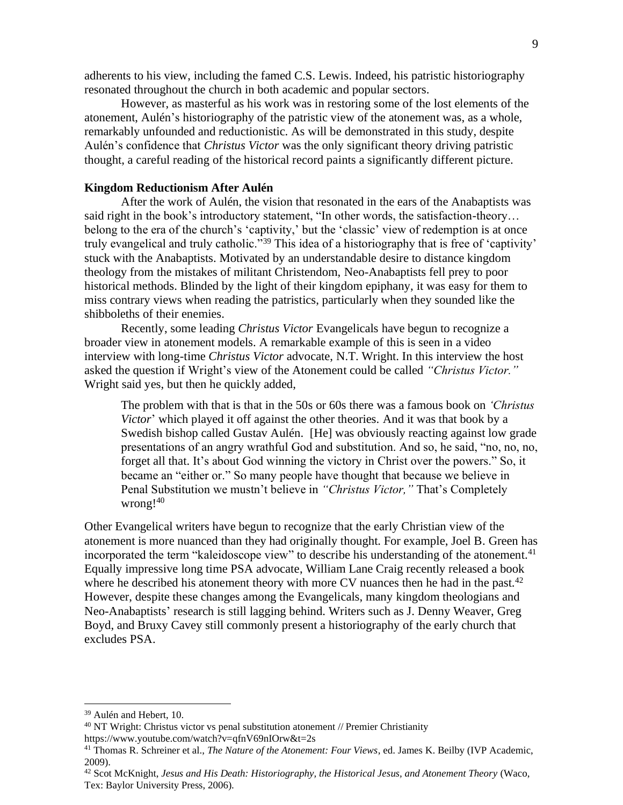adherents to his view, including the famed C.S. Lewis. Indeed, his patristic historiography resonated throughout the church in both academic and popular sectors.

However, as masterful as his work was in restoring some of the lost elements of the atonement, Aulén's historiography of the patristic view of the atonement was, as a whole, remarkably unfounded and reductionistic. As will be demonstrated in this study, despite Aulén's confidence that *Christus Victor* was the only significant theory driving patristic thought, a careful reading of the historical record paints a significantly different picture.

# **Kingdom Reductionism After Aulén**

After the work of Aulén, the vision that resonated in the ears of the Anabaptists was said right in the book's introductory statement, "In other words, the satisfaction-theory… belong to the era of the church's 'captivity,' but the 'classic' view of redemption is at once truly evangelical and truly catholic."<sup>39</sup> This idea of a historiography that is free of 'captivity' stuck with the Anabaptists. Motivated by an understandable desire to distance kingdom theology from the mistakes of militant Christendom, Neo-Anabaptists fell prey to poor historical methods. Blinded by the light of their kingdom epiphany, it was easy for them to miss contrary views when reading the patristics, particularly when they sounded like the shibboleths of their enemies.

Recently, some leading *Christus Victor* Evangelicals have begun to recognize a broader view in atonement models. A remarkable example of this is seen in a video interview with long-time *Christus Victor* advocate, N.T. Wright. In this interview the host asked the question if Wright's view of the Atonement could be called *"Christus Victor."* Wright said yes, but then he quickly added,

The problem with that is that in the 50s or 60s there was a famous book on *'Christus Victor*' which played it off against the other theories. And it was that book by a Swedish bishop called Gustav Aulén. [He] was obviously reacting against low grade presentations of an angry wrathful God and substitution. And so, he said, "no, no, no, forget all that. It's about God winning the victory in Christ over the powers." So, it became an "either or." So many people have thought that because we believe in Penal Substitution we mustn't believe in *"Christus Victor,"* That's Completely wrong!<sup>40</sup>

Other Evangelical writers have begun to recognize that the early Christian view of the atonement is more nuanced than they had originally thought. For example, Joel B. Green has incorporated the term "kaleidoscope view" to describe his understanding of the atonement. 41 Equally impressive long time PSA advocate, William Lane Craig recently released a book where he described his atonement theory with more CV nuances then he had in the past.<sup>42</sup> However, despite these changes among the Evangelicals, many kingdom theologians and Neo-Anabaptists' research is still lagging behind. Writers such as J. Denny Weaver, Greg Boyd, and Bruxy Cavey still commonly present a historiography of the early church that excludes PSA.

<sup>39</sup> Aulén and Hebert, 10.

<sup>40</sup> NT Wright: Christus victor vs penal substitution atonement // Premier Christianity https://www.youtube.com/watch?v=qfnV69nIOrw&t=2s

<sup>41</sup> Thomas R. Schreiner et al., *The Nature of the Atonement: Four Views*, ed. James K. Beilby (IVP Academic, 2009).

<sup>42</sup> Scot McKnight, *Jesus and His Death: Historiography, the Historical Jesus, and Atonement Theory* (Waco, Tex: Baylor University Press, 2006).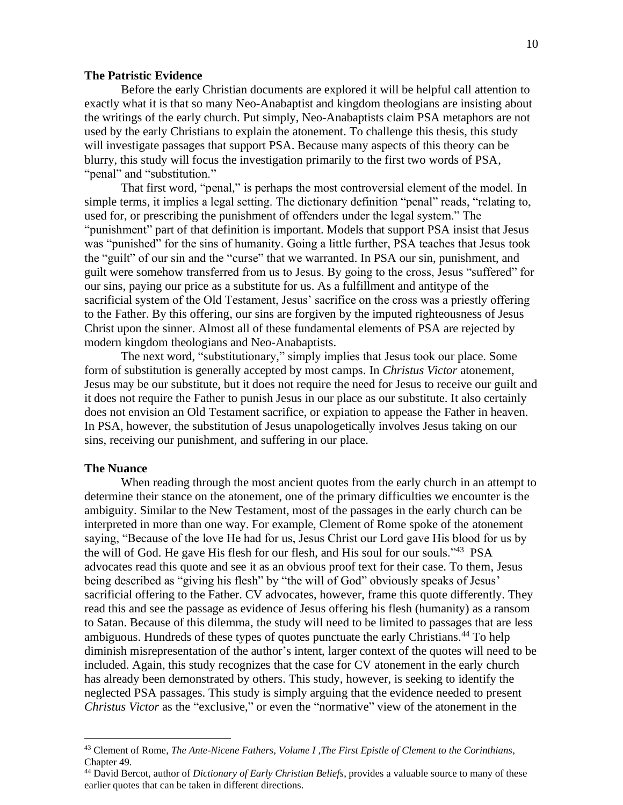#### **The Patristic Evidence**

Before the early Christian documents are explored it will be helpful call attention to exactly what it is that so many Neo-Anabaptist and kingdom theologians are insisting about the writings of the early church. Put simply, Neo-Anabaptists claim PSA metaphors are not used by the early Christians to explain the atonement. To challenge this thesis, this study will investigate passages that support PSA. Because many aspects of this theory can be blurry, this study will focus the investigation primarily to the first two words of PSA, " penal" and "substitution."

That first word, "penal," is perhaps the most controversial element of the model. In simple terms, it implies a legal setting. The dictionary definition "penal" reads, "relating to, used for, or prescribing the punishment of offenders under the legal system." The "punishment" part of that definition is important. Models that support PSA insist that Jesus was "punished" for the sins of humanity. Going a little further, PSA teaches that Jesus took the "guilt" of our sin and the "curse" that we warranted. In PSA our sin, punishment, and guilt were somehow transferred from us to Jesus. By going to the cross, Jesus "suffered" for our sins, paying our price as a substitute for us. As a fulfillment and antitype of the sacrificial system of the Old Testament, Jesus' sacrifice on the cross was a priestly offering to the Father. By this offering, our sins are forgiven by the imputed righteousness of Jesus Christ upon the sinner. Almost all of these fundamental elements of PSA are rejected by modern kingdom theologians and Neo-Anabaptists.

The next word, "substitutionary," simply implies that Jesus took our place. Some form of substitution is generally accepted by most camps. In *Christus Victor* atonement, Jesus may be our substitute, but it does not require the need for Jesus to receive our guilt and it does not require the Father to punish Jesus in our place as our substitute. It also certainly does not envision an Old Testament sacrifice, or expiation to appease the Father in heaven. In PSA, however, the substitution of Jesus unapologetically involves Jesus taking on our sins, receiving our punishment, and suffering in our place.

# **The Nuance**

When reading through the most ancient quotes from the early church in an attempt to determine their stance on the atonement, one of the primary difficulties we encounter is the ambiguity. Similar to the New Testament, most of the passages in the early church can be interpreted in more than one way. For example, Clement of Rome spoke of the atonement saying, "Because of the love He had for us, Jesus Christ our Lord gave His blood for us by the will of God. He gave His flesh for our flesh, and His soul for our souls."<sup>43</sup> PSA advocates read this quote and see it as an obvious proof text for their case. To them, Jesus being described as "giving his flesh" by "the will of God" obviously speaks of Jesus' sacrificial offering to the Father. CV advocates, however, frame this quote differently. They read this and see the passage as evidence of Jesus offering his flesh (humanity) as a ransom to Satan. Because of this dilemma, the study will need to be limited to passages that are less ambiguous. Hundreds of these types of quotes punctuate the early Christians.<sup>44</sup> To help diminish misrepresentation of the author's intent, larger context of the quotes will need to be included. Again, this study recognizes that the case for CV atonement in the early church has already been demonstrated by others. This study, however, is seeking to identify the neglected PSA passages. This study is simply arguing that the evidence needed to present *Christus Victor* as the "exclusive," or even the "normative" view of the atonement in the

<sup>43</sup> Clement of Rome, *The Ante-Nicene Fathers, Volume I ,The First Epistle of Clement to the Corinthians,* Chapter 49.

<sup>44</sup> David Bercot, author of *Dictionary of Early Christian Beliefs*, provides a valuable source to many of these earlier quotes that can be taken in different directions.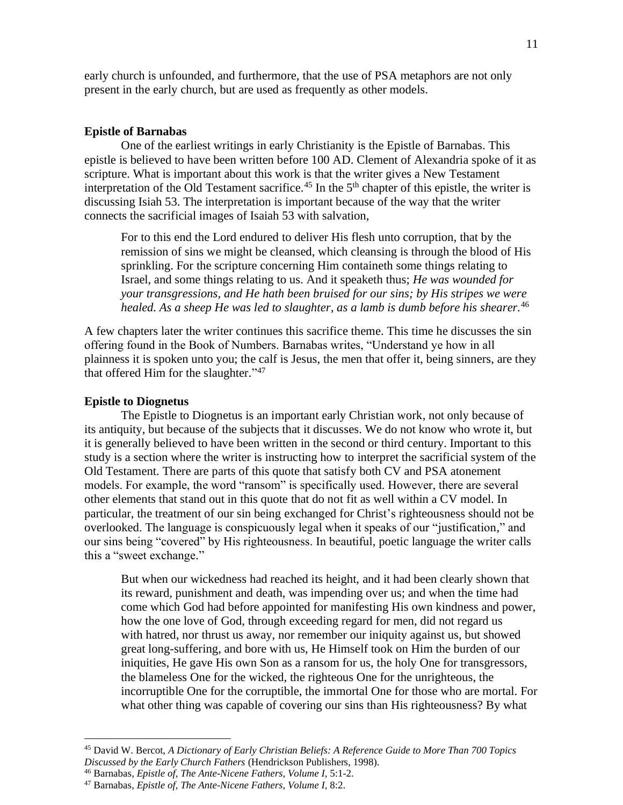early church is unfounded, and furthermore, that the use of PSA metaphors are not only present in the early church, but are used as frequently as other models.

### **Epistle of Barnabas**

One of the earliest writings in early Christianity is the Epistle of Barnabas. This epistle is believed to have been written before 100 AD. Clement of Alexandria spoke of it as scripture. What is important about this work is that the writer gives a New Testament interpretation of the Old Testament sacrifice.<sup>45</sup> In the 5<sup>th</sup> chapter of this epistle, the writer is discussing Isiah 53. The interpretation is important because of the way that the writer connects the sacrificial images of Isaiah 53 with salvation,

For to this end the Lord endured to deliver His flesh unto corruption, that by the remission of sins we might be cleansed, which cleansing is through the blood of His sprinkling. For the scripture concerning Him containeth some things relating to Israel, and some things relating to us. And it speaketh thus; *He was wounded for your transgressions, and He hath been bruised for our sins; by His stripes we were healed. As a sheep He was led to slaughter, as a lamb is dumb before his shearer.*<sup>46</sup>

A few chapters later the writer continues this sacrifice theme. This time he discusses the sin offering found in the Book of Numbers. Barnabas writes, "Understand ye how in all plainness it is spoken unto you; the calf is Jesus, the men that offer it, being sinners, are they that offered Him for the slaughter."<sup>47</sup>

# **Epistle to Diognetus**

The Epistle to Diognetus is an important early Christian work, not only because of its antiquity, but because of the subjects that it discusses. We do not know who wrote it, but it is generally believed to have been written in the second or third century. Important to this study is a section where the writer is instructing how to interpret the sacrificial system of the Old Testament. There are parts of this quote that satisfy both CV and PSA atonement models. For example, the word "ransom" is specifically used. However, there are several other elements that stand out in this quote that do not fit as well within a CV model. In particular, the treatment of our sin being exchanged for Christ's righteousness should not be overlooked. The language is conspicuously legal when it speaks of our "justification," and our sins being "covered" by His righteousness. In beautiful, poetic language the writer calls this a "sweet exchange."

But when our wickedness had reached its height, and it had been clearly shown that its reward, pu[nishment and](http://www.newadvent.org/cathen/05649a.htm) death, was impending over us; and when the time had come which [God](http://www.newadvent.org/cathen/06608a.htm) had before appointed for manifesting His own kindness and power, how the one [love](http://www.newadvent.org/cathen/09397a.htm) of [God,](http://www.newadvent.org/cathen/06608a.htm) through exceeding regard for men, did not regard us with [hatred,](http://www.newadvent.org/cathen/07149b.htm) nor thrust us away, nor remember our iniquity against us, but showed great long-suffering, and bore with us, He Himself took on Him the burden of our iniquities, He gave His own Son as a ransom for us, the [holy](http://www.newadvent.org/cathen/07386a.htm) One for transgressors, the blameless One for the [wicked,](http://www.newadvent.org/cathen/05649a.htm) the righteous One for the unrighteous, the incorruptible One for the corruptible, the [immortal](http://www.newadvent.org/cathen/07687a.htm) One for those who are mortal. For what other thing was capable of covering our [sins](http://www.newadvent.org/cathen/14004b.htm) than His righteousness? By what

<sup>45</sup> David W. Bercot, *A Dictionary of Early Christian Beliefs: A Reference Guide to More Than 700 Topics Discussed by the Early Church Fathers* (Hendrickson Publishers, 1998).

<sup>46</sup> Barnabas, *Epistle of, The Ante-Nicene Fathers, Volume I,* 5:1-2.

<sup>47</sup> Barnabas, *Epistle of, The Ante-Nicene Fathers, Volume I,* 8:2.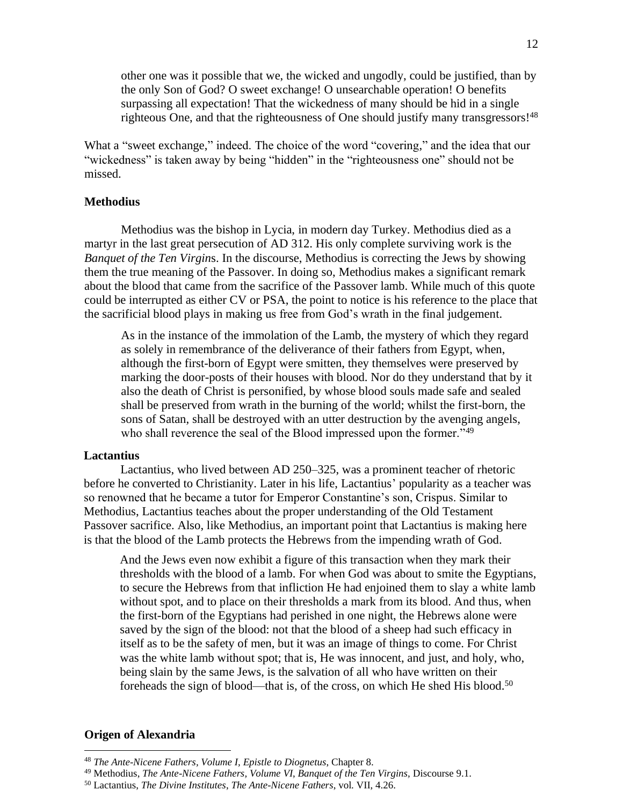other one was it possible that we, the [wicked](http://www.newadvent.org/cathen/05649a.htm) and ungodly, could be justified, than by the only [Son of God?](http://www.newadvent.org/cathen/14142b.htm) O sweet exchange! O unsearchable operation! O benefits surpassing all expectation! That the [wickedness](http://www.newadvent.org/cathen/05649a.htm) of many should be hid in a single righteous One, and that the righteousness of One should justify many transgressors!<sup>48</sup>

What a "sweet exchange," indeed. The choice of the word "covering," and the idea that our "wickedness" is taken away by being "hidden" in the "righteousness one" should not be missed.

### **Methodius**

Methodius was the bishop in Lycia, in modern day Turkey. Methodius died as a martyr in the last great persecution of AD 312. His only complete surviving work is the *Banquet of the Ten Virgin*s. In the discourse, Methodius is correcting the Jews by showing them the true meaning of the Passover. In doing so, Methodius makes a significant remark about the blood that came from the sacrifice of the Passover lamb. While much of this quote could be interrupted as either CV or PSA, the point to notice is his reference to the place that the sacrificial blood plays in making us free from God's wrath in the final judgement.

As in the instance of the immolation of the Lamb, the mystery of which they regard as solely in remembrance of the deliverance of their fathers from Egypt, when, although the first-born of Egypt were smitten, they themselves were preserved by marking the door-posts of their houses with blood. Nor do they understand that by it also the death of Christ is personified, by whose blood souls made safe and sealed shall be preserved from wrath in the burning of the world; whilst the first-born, the sons of Satan, shall be destroyed with an utter destruction by the avenging angels, who shall reverence the seal of the Blood impressed upon the former."<sup>49</sup>

# **Lactantius**

Lactantius, who lived between AD 250–325, was a prominent teacher of rhetoric before he converted to Christianity. Later in his life, Lactantius' popularity as a teacher was so renowned that he became a tutor for Emperor Constantine's son, Crispus. Similar to Methodius, Lactantius teaches about the proper understanding of the Old Testament Passover sacrifice. Also, like Methodius, an important point that Lactantius is making here is that the blood of the Lamb protects the Hebrews from the impending wrath of God.

And the Jews even now exhibit a figure of this transaction when they mark their thresholds with the blood of a lamb. For when God was about to smite the Egyptians, to secure the Hebrews from that infliction He had enjoined them to slay a white lamb without spot, and to place on their thresholds a mark from its blood. And thus, when the first-born of the Egyptians had perished in one night, the Hebrews alone were saved by the sign of the blood: not that the blood of a sheep had such efficacy in itself as to be the safety of men, but it was an image of things to come. For Christ was the white lamb without spot; that is, He was innocent, and just, and holy, who, being slain by the same Jews, is the salvation of all who have written on their foreheads the sign of blood—that is, of the cross, on which He shed His blood.<sup>50</sup>

### **Origen of Alexandria**

<sup>48</sup> *The Ante-Nicene Fathers, Volume I, Epistle to Diognetus*, Chapter 8.

<sup>49</sup> Methodius, *The Ante-Nicene Fathers, Volume VI*, *Banquet of the Ten Virgins,* Discourse 9.1.

<sup>50</sup> Lactantius, *The Divine Institutes*, *The Ante-Nicene Fathers*, vol. VII, 4.26.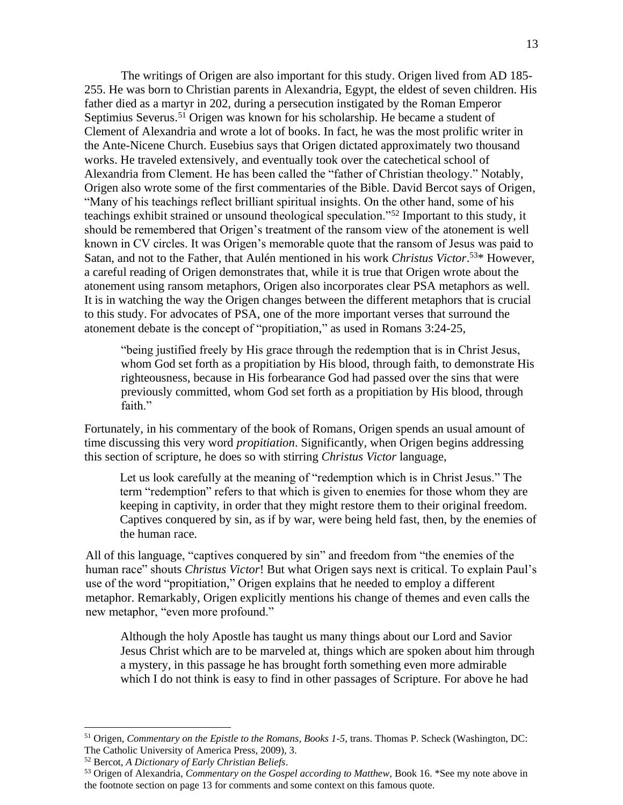The writings of Origen are also important for this study. Origen lived from AD 185- 255. He was born to Christian parents in Alexandria, Egypt, the eldest of seven children. His father died as a martyr in 202, during a persecution instigated by the Roman Emperor Septimius Severus.<sup>51</sup> Origen was known for his scholarship. He became a student of Clement of Alexandria and wrote a lot of books. In fact, he was the most prolific writer in the Ante-Nicene Church. Eusebius says that Origen dictated approximately two thousand works. He traveled extensively, and eventually took over the catechetical school of Alexandria from Clement. He has been called the "father of Christian theology." Notably, Origen also wrote some of the first commentaries of the Bible. David Bercot says of Origen, "Many of his teachings reflect brilliant spiritual insights. On the other hand, some of his teachings exhibit strained or unsound theological speculation."<sup>52</sup> Important to this study, it should be remembered that Origen's treatment of the ransom view of the atonement is well known in CV circles. It was Origen's memorable quote that the ransom of Jesus was paid to Satan, and not to the Father, that Aulén mentioned in his work *Christus Victor*.<sup>53\*</sup> However, a careful reading of Origen demonstrates that, while it is true that Origen wrote about the atonement using ransom metaphors, Origen also incorporates clear PSA metaphors as well. It is in watching the way the Origen changes between the different metaphors that is crucial to this study. For advocates of PSA, one of the more important verses that surround the atonement debate is the concept of "propitiation," as used in Romans 3:24-25,

"being justified freely by His grace through the redemption that is in Christ Jesus, whom God set forth as a propitiation by His blood, through faith, to demonstrate His righteousness, because in His forbearance God had passed over the sins that were previously committed, whom God set forth as a propitiation by His blood, through faith."

Fortunately, in his commentary of the book of Romans, Origen spends an usual amount of time discussing this very word *propitiation*. Significantly, when Origen begins addressing this section of scripture, he does so with stirring *Christus Victor* language,

Let us look carefully at the meaning of "redemption which is in Christ Jesus." The term "redemption" refers to that which is given to enemies for those whom they are keeping in captivity, in order that they might restore them to their original freedom. Captives conquered by sin, as if by war, were being held fast, then, by the enemies of the human race.

All of this language, "captives conquered by sin" and freedom from "the enemies of the human race" shouts *Christus Victor*! But what Origen says next is critical. To explain Paul's use of the word "propitiation," Origen explains that he needed to employ a different metaphor. Remarkably, Origen explicitly mentions his change of themes and even calls the new metaphor, "even more profound."

Although the holy Apostle has taught us many things about our Lord and Savior Jesus Christ which are to be marveled at, things which are spoken about him through a mystery, in this passage he has brought forth something even more admirable which I do not think is easy to find in other passages of Scripture. For above he had

<sup>51</sup> Origen, *Commentary on the Epistle to the Romans, Books 1-5*, trans. Thomas P. Scheck (Washington, DC: The Catholic University of America Press, 2009), 3.

<sup>52</sup> Bercot, *A Dictionary of Early Christian Beliefs*.

<sup>53</sup> Origen of Alexandria, *Commentary on the Gospel according to Matthew,* Book 16. \*See my note above in the footnote section on page 13 for comments and some context on this famous quote.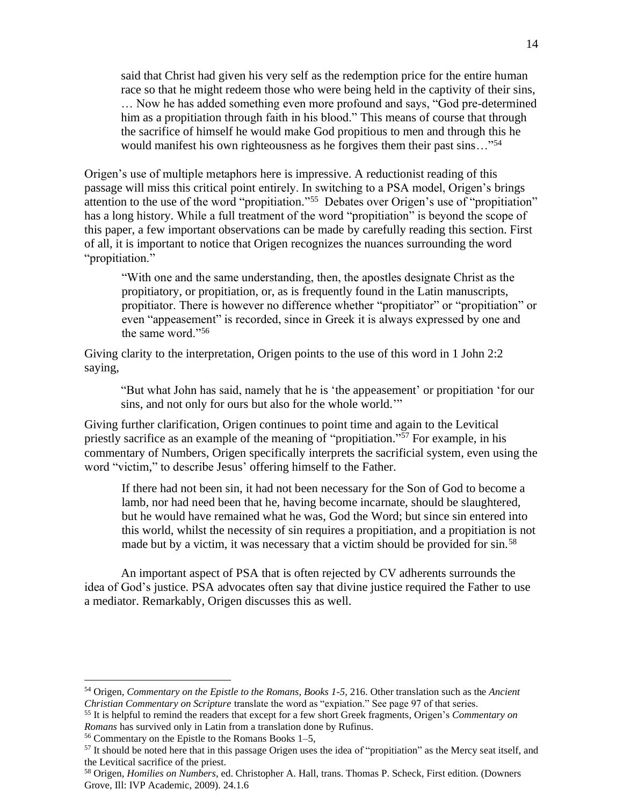said that Christ had given his very self as the redemption price for the entire human race so that he might redeem those who were being held in the captivity of their sins, … Now he has added something even more profound and says, "God pre-determined him as a propitiation through faith in his blood." This means of course that through the sacrifice of himself he would make God propitious to men and through this he would manifest his own righteousness as he forgives them their past sins..."<sup>54</sup>

Origen's use of multiple metaphors here is impressive. A reductionist reading of this passage will miss this critical point entirely. In switching to a PSA model, Origen's brings attention to the use of the word "propitiation." 55 Debates over Origen's use of "propitiation" has a long history. While a full treatment of the word "propitiation" is beyond the scope of this paper, a few important observations can be made by carefully reading this section. First of all, it is important to notice that Origen recognizes the nuances surrounding the word "propitiation."

"With one and the same understanding, then, the apostles designate Christ as the propitiatory, or propitiation, or, as is frequently found in the Latin manuscripts, propitiator. There is however no difference whether "propitiator" or "propitiation" or even "appeasement" is recorded, since in Greek it is always expressed by one and the same word."<sup>56</sup>

Giving clarity to the interpretation, Origen points to the use of this word in 1 John 2:2 saying,

"But what John has said, namely that he is 'the appeasement' or propitiation 'for our sins, and not only for ours but also for the whole world.'"

Giving further clarification, Origen continues to point time and again to the Levitical priestly sacrifice as an example of the meaning of "propitiation." <sup>57</sup> For example, in his commentary of Numbers, Origen specifically interprets the sacrificial system, even using the word "victim," to describe Jesus' offering himself to the Father.

If there had not been sin, it had not been necessary for the Son of God to become a lamb, nor had need been that he, having become incarnate, should be slaughtered, but he would have remained what he was, God the Word; but since sin entered into this world, whilst the necessity of sin requires a propitiation, and a propitiation is not made but by a victim, it was necessary that a victim should be provided for sin.<sup>58</sup>

An important aspect of PSA that is often rejected by CV adherents surrounds the idea of God's justice. PSA advocates often say that divine justice required the Father to use a mediator. Remarkably, Origen discusses this as well.

<sup>54</sup> Origen, *Commentary on the Epistle to the Romans, Books 1-5*, 216. Other translation such as the *Ancient Christian Commentary on Scripture* translate the word as "expiation." See page 97 of that series.

<sup>55</sup> It is helpful to remind the readers that except for a few short Greek fragments, Origen's *Commentary on Romans* has survived only in Latin from a translation done by Rufinus.

<sup>56</sup> Commentary on the Epistle to the Romans Books 1–5,

<sup>57</sup> It should be noted here that in this passage Origen uses the idea of "propitiation" as the Mercy seat itself, and the Levitical sacrifice of the priest.

<sup>58</sup> Origen, *Homilies on Numbers*, ed. Christopher A. Hall, trans. Thomas P. Scheck, First edition. (Downers Grove, Ill: IVP Academic, 2009). 24.1.6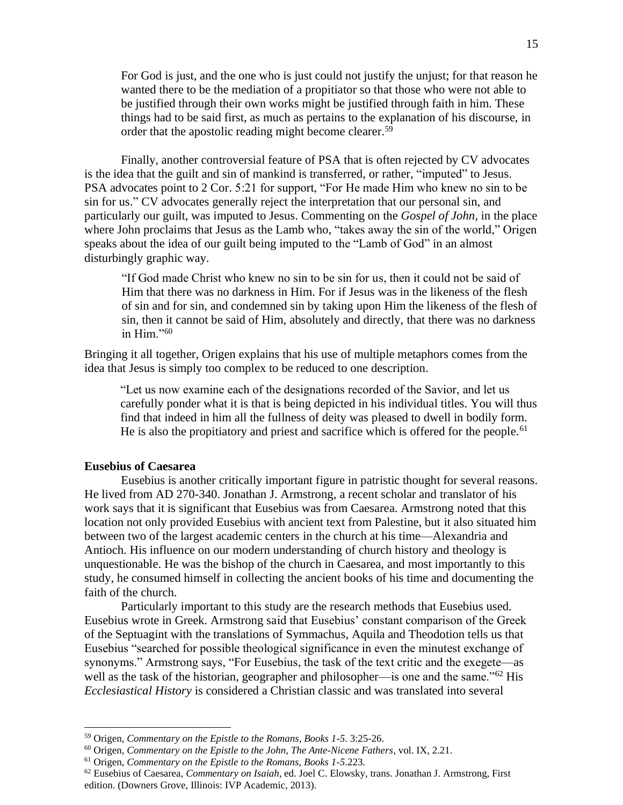For God is just, and the one who is just could not justify the unjust; for that reason he wanted there to be the mediation of a propitiator so that those who were not able to be justified through their own works might be justified through faith in him. These things had to be said first, as much as pertains to the explanation of his discourse, in order that the apostolic reading might become clearer.<sup>59</sup>

Finally, another controversial feature of PSA that is often rejected by CV advocates is the idea that the guilt and sin of mankind is transferred, or rather, "imputed" to Jesus. PSA advocates point to 2 Cor. 5:21 for support, "For He made Him who knew no sin to be sin for us." CV advocates generally reject the interpretation that our personal sin, and particularly our guilt, was imputed to Jesus. Commenting on the *Gospel of John,* in the place where John proclaims that Jesus as the Lamb who, "takes away the sin of the world," Origen speaks about the idea of our guilt being imputed to the "Lamb of God" in an almost disturbingly graphic way.

"If God made Christ who knew no sin to be sin for us, then it could not be said of Him that there was no darkness in Him. For if Jesus was in the likeness of the flesh of sin and for sin, and condemned sin by taking upon Him the likeness of the flesh of sin, then it cannot be said of Him, absolutely and directly, that there was no darkness in Him."<sup>60</sup>

Bringing it all together, Origen explains that his use of multiple metaphors comes from the idea that Jesus is simply too complex to be reduced to one description.

"Let us now examine each of the designations recorded of the Savior, and let us carefully ponder what it is that is being depicted in his individual titles. You will thus find that indeed in him all the fullness of deity was pleased to dwell in bodily form. He is also the propitiatory and priest and sacrifice which is offered for the people.<sup>61</sup>

# **Eusebius of Caesarea**

Eusebius is another critically important figure in patristic thought for several reasons. He lived from AD 270-340. Jonathan J. Armstrong, a recent scholar and translator of his work says that it is significant that Eusebius was from Caesarea. Armstrong noted that this location not only provided Eusebius with ancient text from Palestine, but it also situated him between two of the largest academic centers in the church at his time—Alexandria and Antioch. His influence on our modern understanding of church history and theology is unquestionable. He was the bishop of the church in Caesarea, and most importantly to this study, he consumed himself in collecting the ancient books of his time and documenting the faith of the church.

Particularly important to this study are the research methods that Eusebius used. Eusebius wrote in Greek. Armstrong said that Eusebius' constant comparison of the Greek of the Septuagint with the translations of Symmachus, Aquila and Theodotion tells us that Eusebius "searched for possible theological significance in even the minutest exchange of synonyms." Armstrong says, "For Eusebius, the task of the text critic and the exegete—as well as the task of the historian, geographer and philosopher—is one and the same."<sup>62</sup> His *Ecclesiastical History* is considered a Christian classic and was translated into several

<sup>59</sup> Origen, *Commentary on the Epistle to the Romans, Books 1-5*. 3:25-26.

<sup>60</sup> Origen, *Commentary on the Epistle to the John, The Ante-Nicene Fathers*, vol. IX, 2.21.

<sup>61</sup> Origen, *Commentary on the Epistle to the Romans, Books 1-5*.223.

<sup>62</sup> Eusebius of Caesarea, *Commentary on Isaiah*, ed. Joel C. Elowsky, trans. Jonathan J. Armstrong, First edition. (Downers Grove, Illinois: IVP Academic, 2013).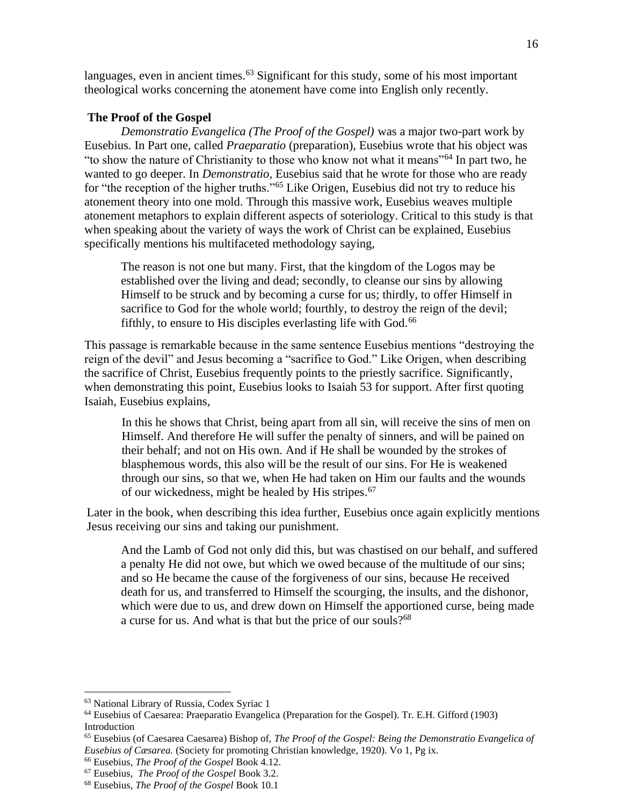languages, even in ancient times.<sup>63</sup> Significant for this study, some of his most important theological works concerning the atonement have come into English only recently.

### **The Proof of the Gospel**

*Demonstratio Evangelica (The Proof of the Gospel)* was a major two-part work by Eusebius*.* In Part one, called *Praeparatio* (preparation), Eusebius wrote that his object was "to show the nature of Christianity to those who know not what it means"<sup>64</sup> In part two, he wanted to go deeper. In *Demonstratio,* Eusebius said that he wrote for those who are ready for "the reception of the higher truths."<sup>65</sup> Like Origen, Eusebius did not try to reduce his atonement theory into one mold. Through this massive work, Eusebius weaves multiple atonement metaphors to explain different aspects of soteriology. Critical to this study is that when speaking about the variety of ways the work of Christ can be explained, Eusebius specifically mentions his multifaceted methodology saying,

The reason is not one but many. First, that the kingdom of the Logos may be established over the living and dead; secondly, to cleanse our sins by allowing Himself to be struck and by becoming a curse for us; thirdly, to offer Himself in sacrifice to God for the whole world; fourthly, to destroy the reign of the devil; fifthly, to ensure to His disciples everlasting life with God.<sup>66</sup>

This passage is remarkable because in the same sentence Eusebius mentions "destroying the reign of the devil" and Jesus becoming a "sacrifice to God." Like Origen, when describing the sacrifice of Christ, Eusebius frequently points to the priestly sacrifice. Significantly, when demonstrating this point, Eusebius looks to Isaiah 53 for support. After first quoting Isaiah, Eusebius explains,

In this he shows that Christ, being apart from all sin, will receive the sins of men on Himself. And therefore He will suffer the penalty of sinners, and will be pained on their behalf; and not on His own. And if He shall be wounded by the strokes of blasphemous words, this also will be the result of our sins. For He is weakened through our sins, so that we, when He had taken on Him our faults and the wounds of our wickedness, might be healed by His stripes. 67

Later in the book, when describing this idea further, Eusebius once again explicitly mentions Jesus receiving our sins and taking our punishment.

And the Lamb of God not only did this, but was chastised on our behalf, and suffered a penalty He did not owe, but which we owed because of the multitude of our sins; and so He became the cause of the forgiveness of our sins, because He received death for us, and transferred to Himself the scourging, the insults, and the dishonor, which were due to us, and drew down on Himself the apportioned curse, being made a curse for us. And what is that but the price of our souls?<sup>68</sup>

<sup>63</sup> National Library of Russia, Codex Syriac 1

<sup>64</sup> Eusebius of Caesarea: Praeparatio Evangelica (Preparation for the Gospel). Tr. E.H. Gifford (1903) Introduction

<sup>65</sup> Eusebius (of Caesarea Caesarea) Bishop of, *The Proof of the Gospel: Being the Demonstratio Evangelica of Eusebius of Cæsarea.* (Society for promoting Christian knowledge, 1920). Vo 1, Pg ix.

<sup>66</sup> Eusebius, *The Proof of the Gospel* Book 4.12.

<sup>67</sup> Eusebius, *The Proof of the Gospel* Book 3.2.

<sup>68</sup> Eusebius, *The Proof of the Gospel* Book 10.1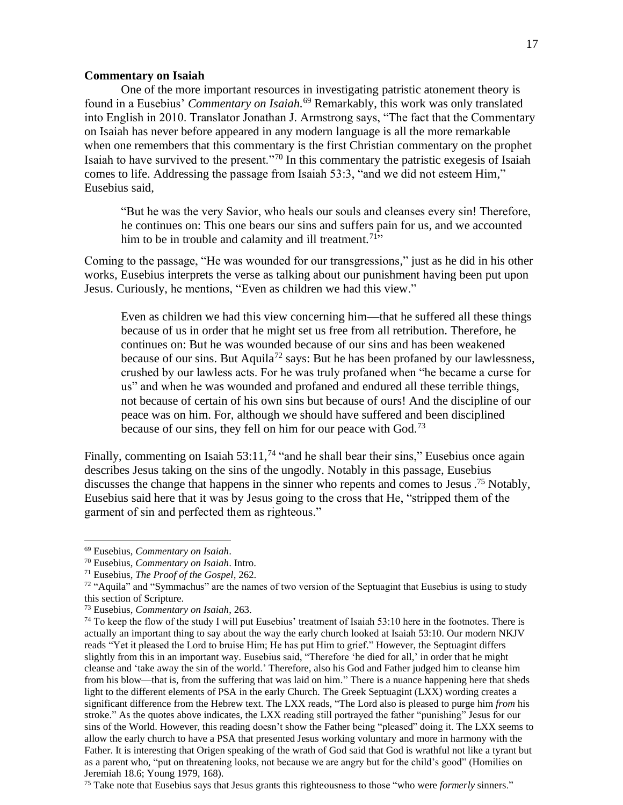# **Commentary on Isaiah**

One of the more important resources in investigating patristic atonement theory is found in a Eusebius' *Commentary on Isaiah.*<sup>69</sup> Remarkably, this work was only translated into English in 2010. Translator Jonathan J. Armstrong says, "The fact that the Commentary on Isaiah has never before appeared in any modern language is all the more remarkable when one remembers that this commentary is the first Christian commentary on the prophet Isaiah to have survived to the present."<sup>70</sup> In this commentary the patristic exegesis of Isaiah comes to life. Addressing the passage from Isaiah 53:3, "and we did not esteem Him," Eusebius said,

"But he was the very Savior, who heals our souls and cleanses every sin! Therefore, he continues on: This one bears our sins and suffers pain for us, and we accounted him to be in trouble and calamity and ill treatment.<sup>71</sup>"

Coming to the passage, "He was wounded for our transgressions," just as he did in his other works, Eusebius interprets the verse as talking about our punishment having been put upon Jesus. Curiously, he mentions, "Even as children we had this view."

Even as children we had this view concerning him—that he suffered all these things because of us in order that he might set us free from all retribution. Therefore, he continues on: But he was wounded because of our sins and has been weakened because of our sins. But Aquila<sup>72</sup> says: But he has been profaned by our lawlessness, crushed by our lawless acts. For he was truly profaned when "he became a curse for us" and when he was wounded and profaned and endured all these terrible things, not because of certain of his own sins but because of ours! And the discipline of our peace was on him. For, although we should have suffered and been disciplined because of our sins, they fell on him for our peace with God.<sup>73</sup>

Finally, commenting on Isaiah 53:11,<sup>74</sup> "and he shall bear their sins," Eusebius once again describes Jesus taking on the sins of the ungodly. Notably in this passage, Eusebius discusses the change that happens in the sinner who repents and comes to Jesus .<sup>75</sup> Notably, Eusebius said here that it was by Jesus going to the cross that He, "stripped them of the garment of sin and perfected them as righteous."

<sup>69</sup> Eusebius, *Commentary on Isaiah*.

<sup>70</sup> Eusebius, *Commentary on Isaiah*. Intro.

<sup>71</sup> Eusebius, *The Proof of the Gospel,* 262.

 $72$  "Aquila" and "Symmachus" are the names of two version of the Septuagint that Eusebius is using to study this section of Scripture.

<sup>73</sup> Eusebius, *Commentary on Isaiah*, 263.

<sup>&</sup>lt;sup>74</sup> To keep the flow of the study I will put Eusebius' treatment of Isaiah 53:10 here in the footnotes. There is actually an important thing to say about the way the early church looked at Isaiah 53:10. Our modern NKJV reads "Yet it pleased the Lord to bruise Him; He has put Him to grief." However, the Septuagint differs slightly from this in an important way. Eusebius said, "Therefore 'he died for all,' in order that he might cleanse and 'take away the sin of the world.' Therefore, also his God and Father judged him to cleanse him from his blow—that is, from the suffering that was laid on him." There is a nuance happening here that sheds light to the different elements of PSA in the early Church. The Greek Septuagint (LXX) wording creates a significant difference from the Hebrew text. The LXX reads, "The Lord also is pleased to purge him *from* his stroke." As the quotes above indicates, the LXX reading still portrayed the father "punishing" Jesus for our sins of the World. However, this reading doesn't show the Father being "pleased" doing it. The LXX seems to allow the early church to have a PSA that presented Jesus working voluntary and more in harmony with the Father. It is interesting that Origen speaking of the wrath of God said that God is wrathful not like a tyrant but as a parent who, "put on threatening looks, not because we are angry but for the child's good" (Homilies on Jeremiah 18.6; Young 1979, 168).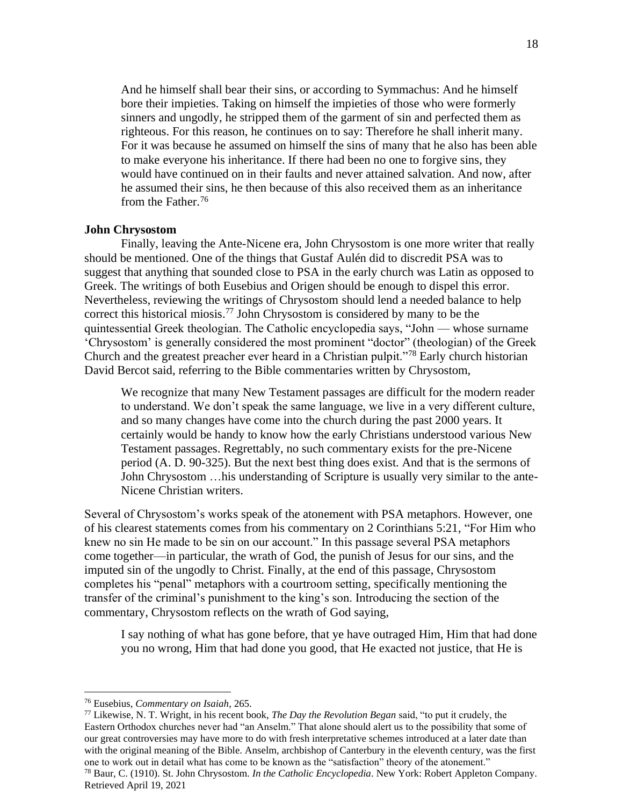And he himself shall bear their sins, or according to Symmachus: And he himself bore their impieties. Taking on himself the impieties of those who were formerly sinners and ungodly, he stripped them of the garment of sin and perfected them as righteous. For this reason, he continues on to say: Therefore he shall inherit many. For it was because he assumed on himself the sins of many that he also has been able to make everyone his inheritance. If there had been no one to forgive sins, they would have continued on in their faults and never attained salvation. And now, after he assumed their sins, he then because of this also received them as an inheritance from the Father.<sup>76</sup>

#### **John Chrysostom**

Finally, leaving the Ante-Nicene era, John Chrysostom is one more writer that really should be mentioned. One of the things that Gustaf Aulén did to discredit PSA was to suggest that anything that sounded close to PSA in the early church was Latin as opposed to Greek. The writings of both Eusebius and Origen should be enough to dispel this error. Nevertheless, reviewing the writings of Chrysostom should lend a needed balance to help correct this historical miosis. <sup>77</sup> John Chrysostom is considered by many to be the quintessential Greek theologian. The Catholic encyclopedia says, "John — whose surname 'Chrysostom' is generally considered the most prominent "doctor" (theologian) of the Greek Church and the greatest preacher ever heard in a Christian pulpit."<sup>78</sup> Early church historian David Bercot said, referring to the Bible commentaries written by Chrysostom,

We recognize that many New Testament passages are difficult for the modern reader to understand. We don't speak the same language, we live in a very different culture, and so many changes have come into the church during the past 2000 years. It certainly would be handy to know how the early Christians understood various New Testament passages. Regrettably, no such commentary exists for the pre-Nicene period (A. D. 90-325). But the next best thing does exist. And that is the sermons of John Chrysostom …his understanding of Scripture is usually very similar to the ante-Nicene Christian writers.

Several of Chrysostom's works speak of the atonement with PSA metaphors. However, one of his clearest statements comes from his commentary on 2 Corinthians 5:21, "For Him who knew no sin He made to be sin on our account." In this passage several PSA metaphors come together—in particular, the wrath of God, the punish of Jesus for our sins, and the imputed sin of the ungodly to Christ. Finally, at the end of this passage, Chrysostom completes his "penal" metaphors with a courtroom setting, specifically mentioning the transfer of the criminal's punishment to the king's son. Introducing the section of the commentary, Chrysostom reflects on the wrath of God saying,

I say nothing of what has gone before, that ye have outraged Him, Him that had done you no wrong, Him that had done you good, that He exacted not justice, that He is

Retrieved April 19, 2021

<sup>76</sup> Eusebius, *Commentary on Isaiah*, 265.

<sup>77</sup> Likewise, N. T. Wright, in his recent book, *The Day the Revolution Began* said, "to put it crudely, the Eastern Orthodox churches never had "an Anselm." That alone should alert us to the possibility that some of our great controversies may have more to do with fresh interpretative schemes introduced at a later date than with the original meaning of the Bible. Anselm, archbishop of Canterbury in the eleventh century, was the first one to work out in detail what has come to be known as the "satisfaction" theory of the atonement." <sup>78</sup> Baur, C. (1910). St. John Chrysostom. *In the Catholic Encyclopedia*. New York: Robert Appleton Company.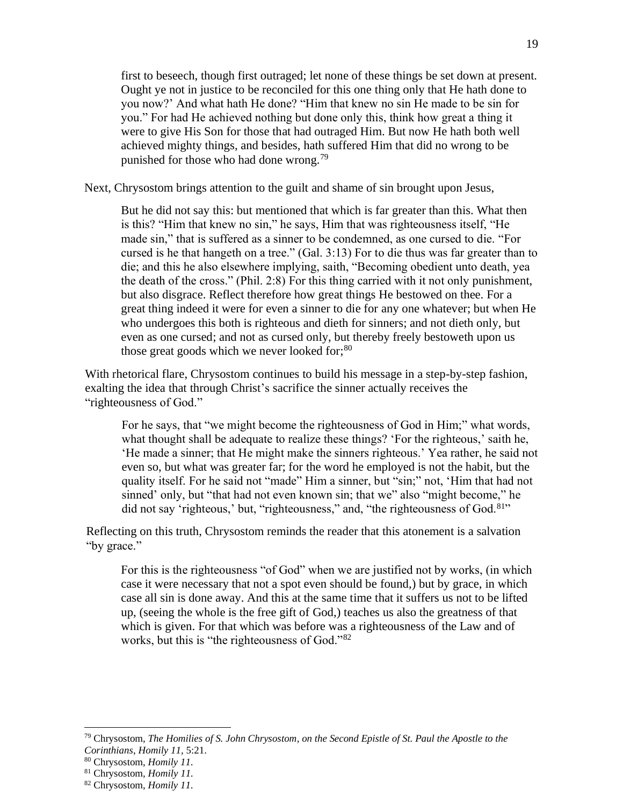first to beseech, though first outraged; let none of these things be set down at present. Ought ye not in justice to be reconciled for this one thing only that He hath done to you now?' And what hath He done? "Him that knew no sin He made to be sin for you." For had He achieved nothing but done only this, think how great a thing it were to give His Son for those that had outraged Him. But now He hath both well achieved mighty things, and besides, hath suffered Him that did no wrong to be punished for those who had done wrong.<sup>79</sup>

Next, Chrysostom brings attention to the guilt and shame of sin brought upon Jesus,

But he did not say this: but mentioned that which is far greater than this. What then is this? "Him that knew no sin," he says, Him that was righteousness itself, "He made sin," that is suffered as a sinner to be condemned, as one cursed to die. "For cursed is he that hangeth on a tree." (Gal. 3:13) For to die thus was far greater than to die; and this he also elsewhere implying, saith, "Becoming obedient unto death, yea the death of the cross." (Phil. 2:8) For this thing carried with it not only punishment, but also disgrace. Reflect therefore how great things He bestowed on thee. For a great thing indeed it were for even a sinner to die for any one whatever; but when He who undergoes this both is righteous and dieth for sinners; and not dieth only, but even as one cursed; and not as cursed only, but thereby freely bestoweth upon us those great goods which we never looked for; $80$ 

With rhetorical flare, Chrysostom continues to build his message in a step-by-step fashion, exalting the idea that through Christ's sacrifice the sinner actually receives the "righteousness of God."

For he says, that "we might become the righteousness of God in Him;" what words, what thought shall be adequate to realize these things? 'For the righteous,' saith he, 'He made a sinner; that He might make the sinners righteous.' Yea rather, he said not even so, but what was greater far; for the word he employed is not the habit, but the quality itself. For he said not "made" Him a sinner, but "sin;" not, 'Him that had not sinned' only, but "that had not even known sin; that we" also "might become," he did not say 'righteous,' but, "righteousness," and, "the righteousness of God.<sup>81</sup>"

Reflecting on this truth, Chrysostom reminds the reader that this atonement is a salvation "by grace."

For this is the righteousness "of God" when we are justified not by works, (in which case it were necessary that not a spot even should be found,) but by grace, in which case all sin is done away. And this at the same time that it suffers us not to be lifted up, (seeing the whole is the free gift of God,) teaches us also the greatness of that which is given. For that which was before was a righteousness of the Law and of works, but this is "the righteousness of God."<sup>82</sup>

<sup>79</sup> Chrysostom, *The Homilies of S. John Chrysostom, on the Second Epistle of St. Paul the Apostle to the Corinthians*, *Homily 11,* 5:21.

<sup>80</sup> Chrysostom, *Homily 11.*

<sup>81</sup> Chrysostom, *Homily 11.*

<sup>82</sup> Chrysostom, *Homily 11.*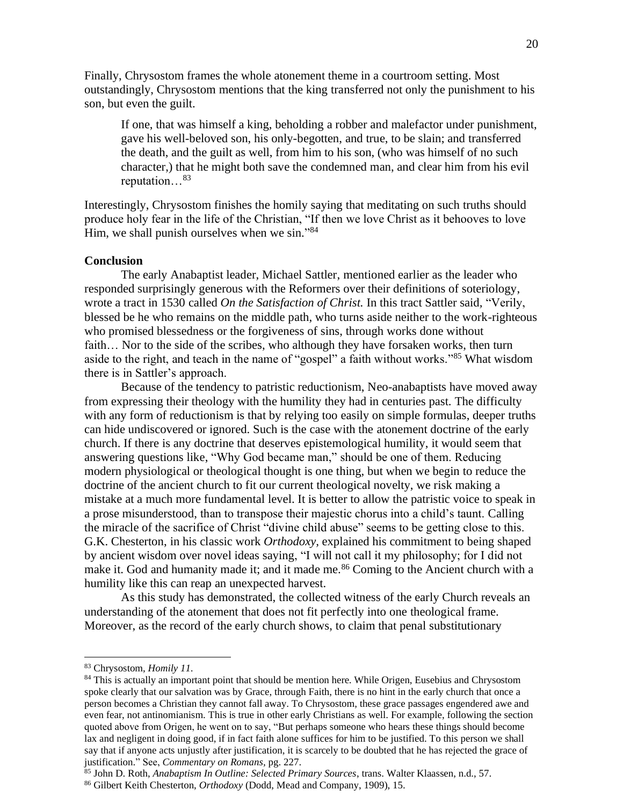Finally, Chrysostom frames the whole atonement theme in a courtroom setting. Most outstandingly, Chrysostom mentions that the king transferred not only the punishment to his son, but even the guilt.

If one, that was himself a king, beholding a robber and malefactor under punishment, gave his well-beloved son, his only-begotten, and true, to be slain; and transferred the death, and the guilt as well, from him to his son, (who was himself of no such character,) that he might both save the condemned man, and clear him from his evil reputation…<sup>83</sup>

Interestingly, Chrysostom finishes the homily saying that meditating on such truths should produce holy fear in the life of the Christian, "If then we love Christ as it behooves to love Him, we shall punish ourselves when we sin."<sup>84</sup>

### **Conclusion**

The early Anabaptist leader, Michael Sattler, mentioned earlier as the leader who responded surprisingly generous with the Reformers over their definitions of soteriology, wrote a tract in 1530 called *On the Satisfaction of Christ.* In this tract Sattler said*,* "Verily, blessed be he who remains on the middle path, who turns aside neither to the work-righteous who promised blessedness or the forgiveness of sins, through works done without faith... Nor to the side of the scribes, who although they have forsaken works, then turn aside to the right, and teach in the name of "gospel" a faith without works."<sup>85</sup> What wisdom there is in Sattler's approach.

Because of the tendency to patristic reductionism, Neo-anabaptists have moved away from expressing their theology with the humility they had in centuries past. The difficulty with any form of reductionism is that by relying too easily on simple formulas, deeper truths can hide undiscovered or ignored. Such is the case with the atonement doctrine of the early church. If there is any doctrine that deserves epistemological humility, it would seem that answering questions like, "Why God became man," should be one of them. Reducing modern physiological or theological thought is one thing, but when we begin to reduce the doctrine of the ancient church to fit our current theological novelty, we risk making a mistake at a much more fundamental level. It is better to allow the patristic voice to speak in a prose misunderstood, than to transpose their majestic chorus into a child's taunt. Calling the miracle of the sacrifice of Christ "divine child abuse" seems to be getting close to this. G.K. Chesterton, in his classic work *Orthodoxy,* explained his commitment to being shaped by ancient wisdom over novel ideas saying, "I will not call it my philosophy; for I did not make it. God and humanity made it; and it made me.<sup>86</sup> Coming to the Ancient church with a humility like this can reap an unexpected harvest.

As this study has demonstrated, the collected witness of the early Church reveals an understanding of the atonement that does not fit perfectly into one theological frame. Moreover, as the record of the early church shows, to claim that penal substitutionary

<sup>83</sup> Chrysostom, *Homily 11.*

<sup>&</sup>lt;sup>84</sup> This is actually an important point that should be mention here. While Origen, Eusebius and Chrysostom spoke clearly that our salvation was by Grace, through Faith, there is no hint in the early church that once a person becomes a Christian they cannot fall away. To Chrysostom, these grace passages engendered awe and even fear, not antinomianism. This is true in other early Christians as well. For example, following the section quoted above from Origen, he went on to say, "But perhaps someone who hears these things should become lax and negligent in doing good, if in fact faith alone suffices for him to be justified. To this person we shall say that if anyone acts unjustly after justification, it is scarcely to be doubted that he has rejected the grace of justification." See, *Commentary on Romans,* pg. 227.

<sup>85</sup> John D. Roth, *Anabaptism In Outline: Selected Primary Sources*, trans. Walter Klaassen, n.d., 57.

<sup>86</sup> Gilbert Keith Chesterton, *Orthodoxy* (Dodd, Mead and Company, 1909), 15.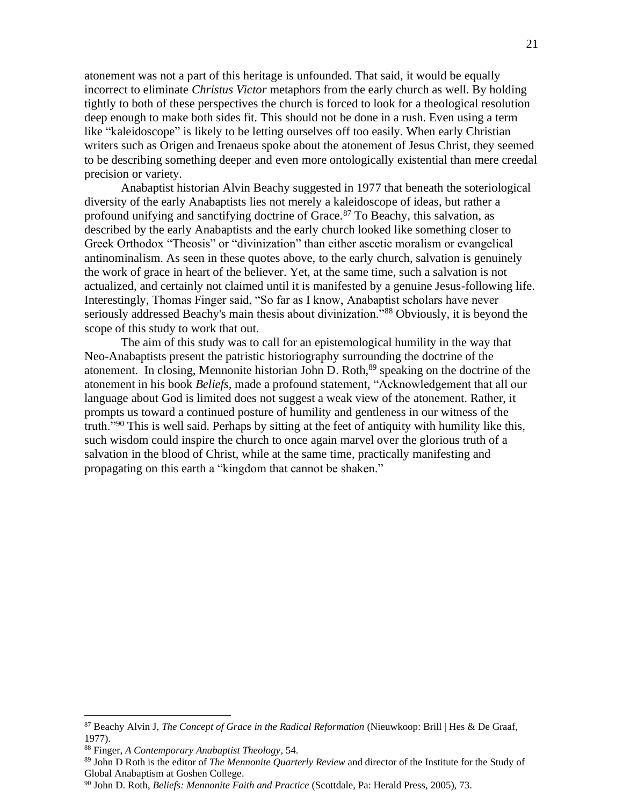atonement was not a part of this heritage is unfounded. That said, it would be equally incorrect to eliminate *Christus Victor* metaphors from the early church as well. By holding tightly to both of these perspectives the church is forced to look for a theological resolution deep enough to make both sides fit. This should not be done in a rush. Even using a term like "kaleidoscope" is likely to be letting ourselves off too easily. When early Christian writers such as Origen and Irenaeus spoke about the atonement of Jesus Christ, they seemed to be describing something deeper and even more ontologically existential than mere creedal precision or variety.

Anabaptist historian Alvin Beachy suggested in 1977 that beneath the soteriological diversity of the early Anabaptists lies not merely a kaleidoscope of ideas, but rather a profound unifying and sanctifying doctrine of Grace.<sup>87</sup> To Beachy, this salvation, as described by the early Anabaptists and the early church looked like something closer to Greek Orthodox "Theosis" or "divinization" than either ascetic moralism or evangelical antinominalism. As seen in these quotes above, to the early church, salvation is genuinely the work of grace in heart of the believer. Yet, at the same time, such a salvation is not actualized, and certainly not claimed until it is manifested by a genuine Jesus-following life. Interestingly, Thomas Finger said, "So far as I know, Anabaptist scholars have never seriously addressed Beachy's main thesis about divinization."<sup>88</sup> Obviously, it is beyond the scope of this study to work that out.

The aim of this study was to call for an epistemological humility in the way that Neo-Anabaptists present the patristic historiography surrounding the doctrine of the atonement. In closing, Mennonite historian John D. Roth,<sup>89</sup> speaking on the doctrine of the atonement in his book *Beliefs,* made a profound statement, "Acknowledgement that all our language about God is limited does not suggest a weak view of the atonement. Rather, it prompts us toward a continued posture of humility and gentleness in our witness of the truth."<sup>90</sup> This is well said. Perhaps by sitting at the feet of antiquity with humility like this, such wisdom could inspire the church to once again marvel over the glorious truth of a salvation in the blood of Christ, while at the same time, practically manifesting and propagating on this earth a "kingdom that cannot be shaken."

<sup>87</sup> Beachy Alvin J, *The Concept of Grace in the Radical Reformation* (Nieuwkoop: Brill | Hes & De Graaf, 1977).

<sup>88</sup> Finger, *A Contemporary Anabaptist Theology*, 54.

<sup>89</sup> John D Roth is the editor of *The Mennonite Quarterly Review* and director of the Institute for the Study of Global Anabaptism at Goshen College.

<sup>90</sup> John D. Roth, *Beliefs: Mennonite Faith and Practice* (Scottdale, Pa: Herald Press, 2005), 73.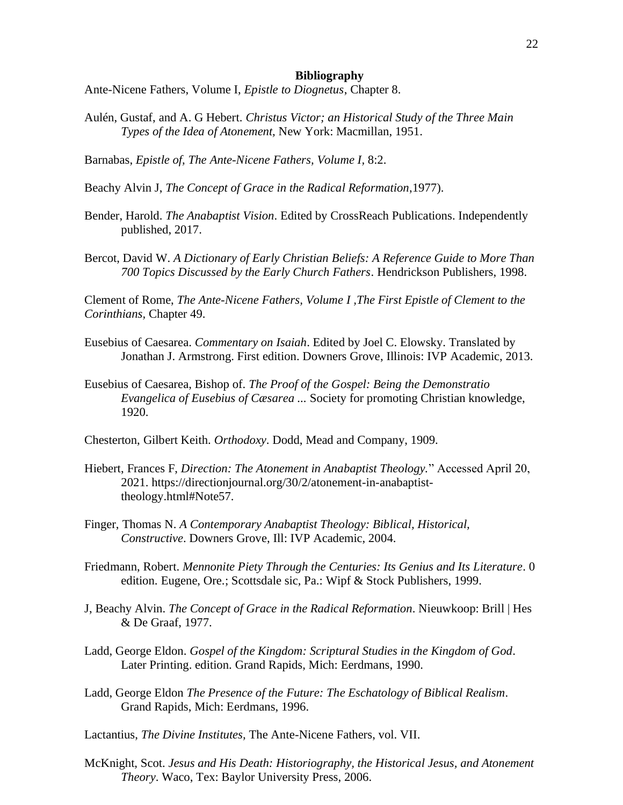#### **Bibliography**

Ante-Nicene Fathers, Volume I, *Epistle to Diognetus*, Chapter 8.

- Aulén, Gustaf, and A. G Hebert. *Christus Victor; an Historical Study of the Three Main Types of the Idea of Atonement,* New York: Macmillan, 1951.
- Barnabas, *Epistle of, The Ante-Nicene Fathers, Volume I,* 8:2.

Beachy Alvin J, *The Concept of Grace in the Radical Reformation*,1977).

- Bender, Harold. *The Anabaptist Vision*. Edited by CrossReach Publications. Independently published, 2017.
- Bercot, David W. *A Dictionary of Early Christian Beliefs: A Reference Guide to More Than 700 Topics Discussed by the Early Church Fathers*. Hendrickson Publishers, 1998.

Clement of Rome, *The Ante-Nicene Fathers, Volume I ,The First Epistle of Clement to the Corinthians,* Chapter 49.

- Eusebius of Caesarea. *Commentary on Isaiah*. Edited by Joel C. Elowsky. Translated by Jonathan J. Armstrong. First edition. Downers Grove, Illinois: IVP Academic, 2013.
- Eusebius of Caesarea, Bishop of. *The Proof of the Gospel: Being the Demonstratio Evangelica of Eusebius of Cæsarea ...* Society for promoting Christian knowledge, 1920.

Chesterton, Gilbert Keith. *Orthodoxy*. Dodd, Mead and Company, 1909.

- Hiebert, Frances F, *Direction: The Atonement in Anabaptist Theology.*" Accessed April 20, 2021. https://directionjournal.org/30/2/atonement-in-anabaptisttheology.html#Note57.
- Finger, Thomas N. *A Contemporary Anabaptist Theology: Biblical, Historical, Constructive*. Downers Grove, Ill: IVP Academic, 2004.
- Friedmann, Robert. *Mennonite Piety Through the Centuries: Its Genius and Its Literature*. 0 edition. Eugene, Ore.; Scottsdale sic, Pa.: Wipf & Stock Publishers, 1999.
- J, Beachy Alvin. *The Concept of Grace in the Radical Reformation*. Nieuwkoop: Brill | Hes & De Graaf, 1977.
- Ladd, George Eldon. *Gospel of the Kingdom: Scriptural Studies in the Kingdom of God*. Later Printing. edition. Grand Rapids, Mich: Eerdmans, 1990.
- Ladd, George Eldon *The Presence of the Future: The Eschatology of Biblical Realism*. Grand Rapids, Mich: Eerdmans, 1996.

Lactantius, *The Divine Institutes,* The Ante-Nicene Fathers, vol. VII.

McKnight, Scot. *Jesus and His Death: Historiography, the Historical Jesus, and Atonement Theory*. Waco, Tex: Baylor University Press, 2006.